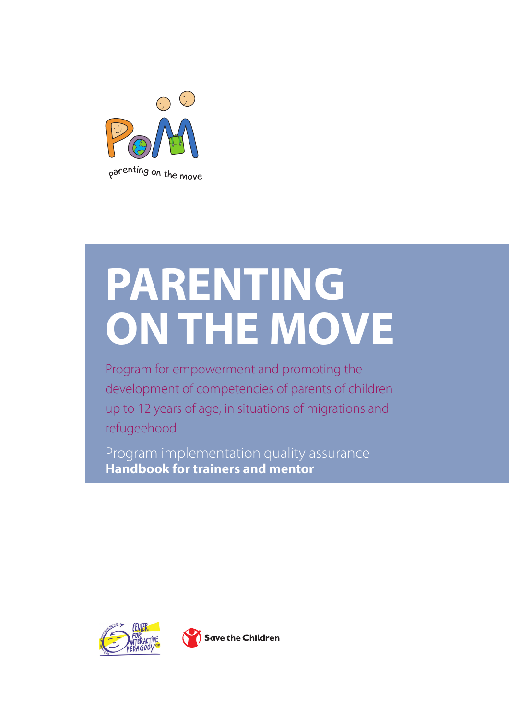

# **PARENTING ONTHE MOVE**

Program for empowerment and promoting the development of competencies of parents of children up to 12 years of age, in situations of migrations and refugeehood

Program implementation quality assurance **Handbook for trainers and mentor**



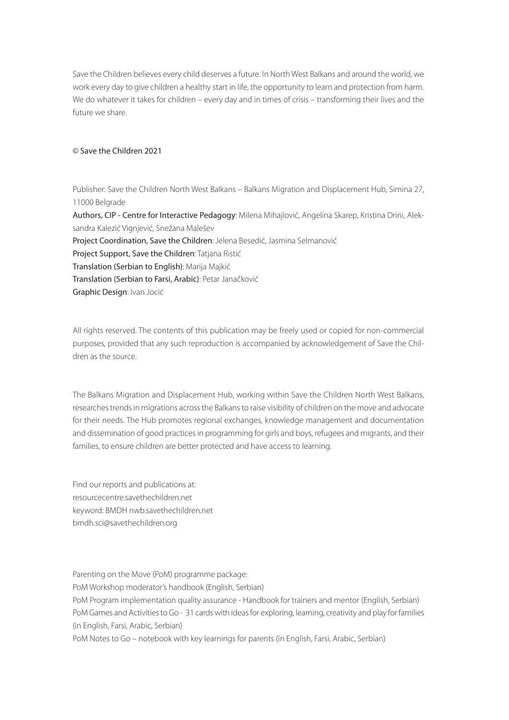Save the Children believes every child deserves a future. In North West Balkans and around the world, we work every day to give children a healthy start in life, the opportunity to learn and protection from harm. We do whatever it takes for children – every day and in times of crisis – transforming their lives and the future we share.

#### © Save the Children 2021

Publisher: Save the Children North West Balkans – Balkans Migration and Displacement Hub, Simina 27, 11000 Belgrade Authors, CIP - Centre for Interactive Pedagogy: Milena Mihajlović, Angelina Skarep, Kristina Drini, Aleksandra Kalezić Vignjević, Snežana Malešev Project Coordination, Save the Children: Jelena Besedić, Jasmina Selmanović Project Support, Save the Children: Tatjana Ristić Translation (Serbian to English): Marija Majkić Translation (Serbian to Farsi, Arabic): Petar Janačković Graphic Design: Ivan Jocić

All rights reserved. The contents of this publication may be freely used or copied for non-commercial purposes, provided that any such reproduction is accompanied by acknowledgement of Save the Children as the source.

The Balkans Migration and Displacement Hub, working within Save the Children North West Balkans, researches trends in migrations across the Balkans to raise visibility of children on the move and advocate for their needs. The Hub promotes regional exchanges, knowledge management and documentation and dissemination of good practices in programming for girls and boys, refugees and migrants, and their families, to ensure children are better protected and have access to learning.

Find our reports and publications at: resourcecentre.savethechildren.net keyword: BMDH nwb.savethechildren.net bmdh.sci@savethechildren.org

Parenting on the Move (PoM) programme package: PoM Workshop moderator's handbook (English, Serbian) PoM Program implementation quality assurance - Handbook for trainers and mentor (English, Serbian) PoM Games and Activities to Go - 31 cards with ideas for exploring, learning, creativity and play for families (in English, Farsi, Arabic, Serbian) PoM Notes to Go – notebook with key learnings for parents (in English, Farsi, Arabic, Serbian)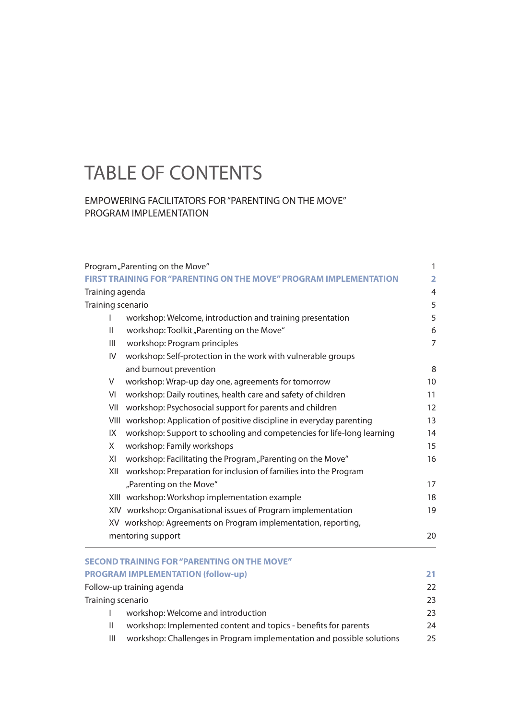# TABLE OF CONTENTS

#### EMPOWERING FACILITATORS FOR "PARENTING ON THE MOVE" PROGRAM IMPLEMENTATION

| Program, Parenting on the Move"                                                             |                                                                         |                  |   |                                          |                   |
|---------------------------------------------------------------------------------------------|-------------------------------------------------------------------------|------------------|---|------------------------------------------|-------------------|
| <b>FIRST TRAINING FOR "PARENTING ON THE MOVE" PROGRAM IMPLEMENTATION</b><br>Training agenda |                                                                         |                  |   |                                          |                   |
|                                                                                             |                                                                         |                  |   |                                          | Training scenario |
| I                                                                                           | workshop: Welcome, introduction and training presentation               |                  |   |                                          |                   |
| $\mathsf{I}$                                                                                | workshop: Toolkit "Parenting on the Move"                               | $\boldsymbol{6}$ |   |                                          |                   |
| III                                                                                         | workshop: Program principles                                            | $\overline{7}$   |   |                                          |                   |
| IV                                                                                          | workshop: Self-protection in the work with vulnerable groups            |                  |   |                                          |                   |
|                                                                                             | and burnout prevention                                                  | 8                |   |                                          |                   |
| V                                                                                           | workshop: Wrap-up day one, agreements for tomorrow                      | 10               |   |                                          |                   |
| VI                                                                                          | workshop: Daily routines, health care and safety of children            | 11               |   |                                          |                   |
| VII                                                                                         | workshop: Psychosocial support for parents and children                 | 12               |   |                                          |                   |
|                                                                                             | VIII workshop: Application of positive discipline in everyday parenting | 13               |   |                                          |                   |
| IX                                                                                          | workshop: Support to schooling and competencies for life-long learning  |                  |   |                                          |                   |
| Χ<br>workshop: Family workshops                                                             |                                                                         |                  |   |                                          |                   |
| XI                                                                                          | workshop: Facilitating the Program "Parenting on the Move"              |                  |   |                                          |                   |
| XII                                                                                         | workshop: Preparation for inclusion of families into the Program        |                  |   |                                          |                   |
|                                                                                             | "Parenting on the Move"                                                 | 17               |   |                                          |                   |
|                                                                                             | XIII workshop: Workshop implementation example                          | 18               |   |                                          |                   |
|                                                                                             | XIV workshop: Organisational issues of Program implementation           | 19               |   |                                          |                   |
|                                                                                             | XV workshop: Agreements on Program implementation, reporting,           |                  |   |                                          |                   |
|                                                                                             | mentoring support<br>20                                                 |                  |   |                                          |                   |
|                                                                                             | <b>SECOND TRAINING FOR "PARENTING ON THE MOVE"</b>                      |                  |   |                                          |                   |
|                                                                                             | <b>PROGRAM IMPLEMENTATION (follow-up)</b>                               | 21               |   |                                          |                   |
| Follow-up training agenda<br>Training scenario                                              |                                                                         |                  |   |                                          |                   |
|                                                                                             |                                                                         |                  | I | workshop: Welcome and introduction<br>23 |                   |
| Ш                                                                                           | workshop: Implemented content and topics - benefits for parents<br>24   |                  |   |                                          |                   |
| III                                                                                         | workshop: Challenges in Program implementation and possible solutions   | 25               |   |                                          |                   |
|                                                                                             |                                                                         |                  |   |                                          |                   |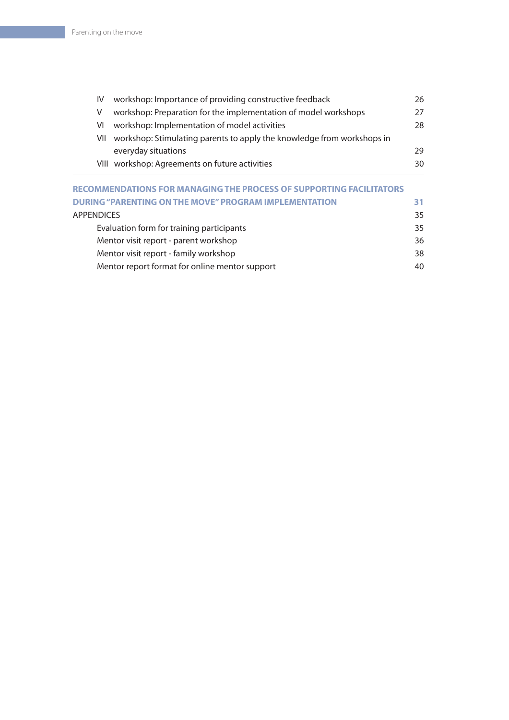| IV. | workshop: Importance of providing constructive feedback                | 26 |
|-----|------------------------------------------------------------------------|----|
|     | workshop: Preparation for the implementation of model workshops        | 27 |
| VI  | workshop: Implementation of model activities                           | 28 |
| VII | workshop: Stimulating parents to apply the knowledge from workshops in |    |
|     | everyday situations                                                    | 29 |
|     | VIII workshop: Agreements on future activities                         | 30 |
|     |                                                                        |    |

| <b>RECOMMENDATIONS FOR MANAGING THE PROCESS OF SUPPORTING FACILITATORS</b> |     |
|----------------------------------------------------------------------------|-----|
| <b>DURING "PARENTING ON THE MOVE" PROGRAM IMPLEMENTATION</b>               | 31. |
| <b>APPENDICES</b>                                                          | 35  |
| Evaluation form for training participants                                  | 35  |
| Mentor visit report - parent workshop                                      | 36  |
| Mentor visit report - family workshop                                      | 38  |
| Mentor report format for online mentor support                             | 40  |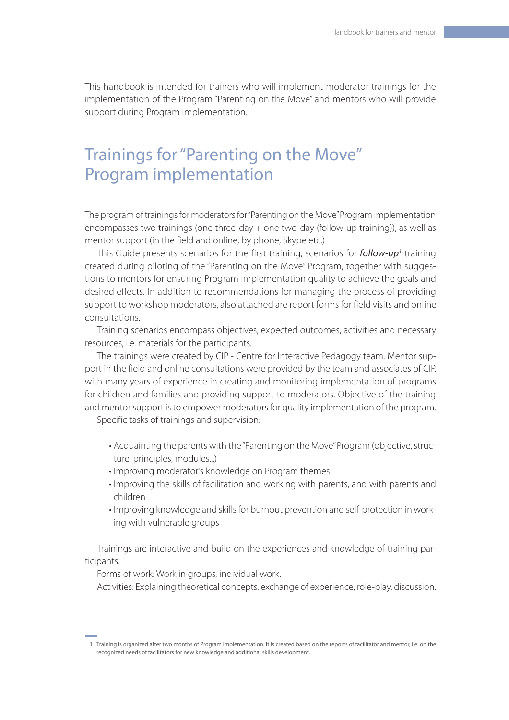This handbook is intended for trainers who will implement moderator trainings for the implementation of the Program "Parenting on the Move" and mentors who will provide support during Program implementation.

# Trainings for "Parenting on the Move" Program implementation

The program of trainings for moderators for "Parenting on the Move" Program implementation encompasses two trainings (one three-day + one two-day (follow-up training)), as well as mentor support (in the field and online, by phone, Skype etc.)

This Guide presents scenarios for the first training, scenarios for *follow-up1* training created during piloting of the "Parenting on the Move" Program, together with suggestions to mentors for ensuring Program implementation quality to achieve the goals and desired effects. In addition to recommendations for managing the process of providing support to workshop moderators, also attached are report forms for field visits and online consultations.

Training scenarios encompass objectives, expected outcomes, activities and necessary resources, i.e. materials for the participants.

The trainings were created by CIP - Centre for Interactive Pedagogy team. Mentor support in the field and online consultations were provided by the team and associates of CIP, with many years of experience in creating and monitoring implementation of programs for children and families and providing support to moderators. Objective of the training and mentor support is to empower moderators for quality implementation of the program.

Specific tasks of trainings and supervision:

- Acquainting the parents with the "Parenting on the Move" Program (objective, structure, principles, modules...)
- Improving moderator's knowledge on Program themes
- Improving the skills of facilitation and working with parents, and with parents and children
- Improving knowledge and skills for burnout prevention and self-protection in working with vulnerable groups

Trainings are interactive and build on the experiences and knowledge of training participants.

Forms of work: Work in groups, individual work.

Activities: Explaining theoretical concepts, exchange of experience, role-play, discussion.

<sup>1</sup> Training is organized after two months of Program implementation. It is created based on the reports of facilitator and mentor, i.e. on the recognized needs of facilitators for new knowledge and additional skills development.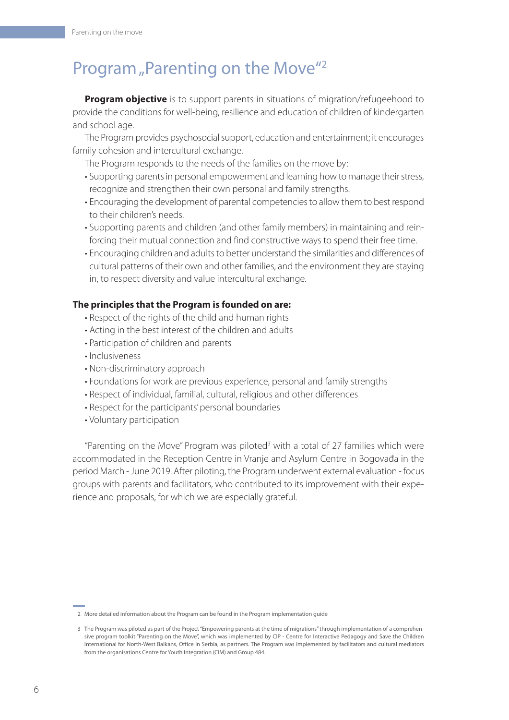# Program "Parenting on the Move"<sup>2</sup>

**Program objective** is to support parents in situations of migration/refugeehood to provide the conditions for well-being, resilience and education of children of kindergarten and school age.

The Program provides psychosocial support, education and entertainment; it encourages family cohesion and intercultural exchange.

The Program responds to the needs of the families on the move by:

- Supporting parents in personal empowerment and learning how to manage their stress, recognize and strengthen their own personal and family strengths.
- Encouraging the development of parental competencies to allow them to best respond to their children's needs.
- Supporting parents and children (and other family members) in maintaining and reinforcing their mutual connection and find constructive ways to spend their free time.
- Encouraging children and adults to better understand the similarities and differences of cultural patterns of their own and other families, and the environment they are staying in, to respect diversity and value intercultural exchange.

#### **The principles that the Program is founded on are:**

- Respect of the rights of the child and human rights
- Acting in the best interest of the children and adults
- Participation of children and parents
- Inclusiveness
- Non-discriminatory approach
- Foundations for work are previous experience, personal and family strengths
- Respect of individual, familial, cultural, religious and other differences
- Respect for the participants' personal boundaries
- Voluntary participation

"Parenting on the Move" Program was piloted<sup>3</sup> with a total of 27 families which were accommodated in the Reception Centre in Vranje and Asylum Centre in Bogovađa in the period March - June 2019. After piloting, the Program underwent external evaluation - focus groups with parents and facilitators, who contributed to its improvement with their experience and proposals, for which we are especially grateful.

<sup>2</sup> More detailed information about the Program can be found in the Program implementation guide

<sup>3</sup> The Program was piloted as part of the Project "Empowering parents at the time of migrations" through implementation of a comprehensive program toolkit "Parenting on the Move", which was implemented by CIP - Centre for Interactive Pedagogy and Save the Children International for North-West Balkans, Office in Serbia, as partners. The Program was implemented by facilitators and cultural mediators from the organisations Centre for Youth Integration (CIM) and Group 484.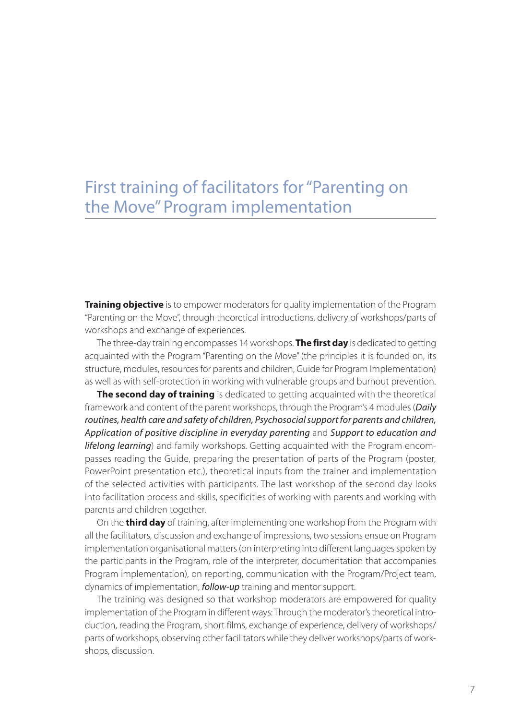# First training of facilitators for "Parenting on the Move" Program implementation

**Training objective** is to empower moderators for quality implementation of the Program "Parenting on the Move", through theoretical introductions, delivery of workshops/parts of workshops and exchange of experiences.

The three-day training encompasses 14 workshops. **The first day** is dedicated to getting acquainted with the Program "Parenting on the Move" (the principles it is founded on, its structure, modules, resources for parents and children, Guide for Program Implementation) as well as with self-protection in working with vulnerable groups and burnout prevention.

**The second day of training** is dedicated to getting acquainted with the theoretical framework and content of the parent workshops, through the Program's 4 modules (*Daily routines, health care and safety of children, Psychosocial support for parents and children, Application of positive discipline in everyday parenting* and *Support to education and lifelong learning*) and family workshops. Getting acquainted with the Program encompasses reading the Guide, preparing the presentation of parts of the Program (poster, PowerPoint presentation etc.), theoretical inputs from the trainer and implementation of the selected activities with participants. The last workshop of the second day looks into facilitation process and skills, specificities of working with parents and working with parents and children together.

On the **third day** of training, after implementing one workshop from the Program with all the facilitators, discussion and exchange of impressions, two sessions ensue on Program implementation organisational matters (on interpreting into different languages spoken by the participants in the Program, role of the interpreter, documentation that accompanies Program implementation), on reporting, communication with the Program/Project team, dynamics of implementation, *follow-up* training and mentor support.

The training was designed so that workshop moderators are empowered for quality implementation of the Program in different ways: Through the moderator's theoretical introduction, reading the Program, short films, exchange of experience, delivery of workshops/ parts of workshops, observing other facilitators while they deliver workshops/parts of workshops, discussion.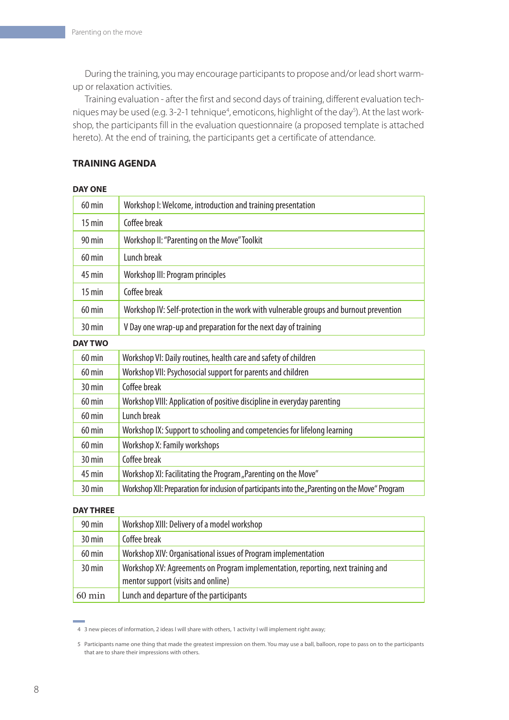During the training, you may encourage participants to propose and/or lead short warmup or relaxation activities.

Training evaluation - after the first and second days of training, different evaluation techniques may be used (e.g. 3-2-1 tehnique<sup>4</sup>, emoticons, highlight of the day<sup>5</sup>). At the last workshop, the participants fill in the evaluation questionnaire (a proposed template is attached hereto). At the end of training, the participants get a certificate of attendance.

#### **TRAINING AGENDA**

#### **DAY ONE**

| $60$ min         | Workshop I: Welcome, introduction and training presentation                            |  |
|------------------|----------------------------------------------------------------------------------------|--|
| $15 \text{ min}$ | Coffee break                                                                           |  |
| $90 \text{ min}$ | Workshop II: "Parenting on the Move" Toolkit                                           |  |
| $60 \text{ min}$ | Lunch break                                                                            |  |
| $45 \text{ min}$ | Workshop III: Program principles                                                       |  |
| $15 \text{ min}$ | Coffee break                                                                           |  |
| $60 \text{ min}$ | Workshop IV: Self-protection in the work with vulnerable groups and burnout prevention |  |
| $30 \text{ min}$ | V Day one wrap-up and preparation for the next day of training                         |  |
| <b>DAY TWO</b>   |                                                                                        |  |
| $60 \text{ min}$ | Workshop VI: Daily routines, health care and safety of children                        |  |
| $60 \text{ min}$ | Workshop VII: Psychosocial support for parents and children                            |  |
| $30 \text{ min}$ | Coffee break                                                                           |  |
| $60 \text{ min}$ | Workshop VIII: Application of positive discipline in everyday parenting                |  |
| 60 min           | Lunch break                                                                            |  |

| $60$ min            | Workshop IX: Support to schooling and competencies for lifelong learning                         |
|---------------------|--------------------------------------------------------------------------------------------------|
| $60$ min            | Workshop X: Family workshops                                                                     |
| $30 \,\mathrm{min}$ | Coffee break                                                                                     |
| $45 \text{ min}$    | Workshop XI: Facilitating the Program "Parenting on the Move"                                    |
| 30 min              | Workshop XII: Preparation for inclusion of participants into the "Parenting on the Move" Program |

#### **DAY THREE**

| 90 min              | Workshop XIII: Delivery of a model workshop                                     |
|---------------------|---------------------------------------------------------------------------------|
| $30 \text{ min}$    | Coffee break                                                                    |
| 60 min              | Workshop XIV: Organisational issues of Program implementation                   |
| $30 \,\mathrm{min}$ | Workshop XV: Agreements on Program implementation, reporting, next training and |
|                     | mentor support (visits and online)                                              |
| $60 \text{ min}$    | Lunch and departure of the participants                                         |

4 3 new pieces of information, 2 ideas I will share with others, 1 activity I will implement right away;

<sup>5</sup> Participants name one thing that made the greatest impression on them. You may use a ball, balloon, rope to pass on to the participants that are to share their impressions with others.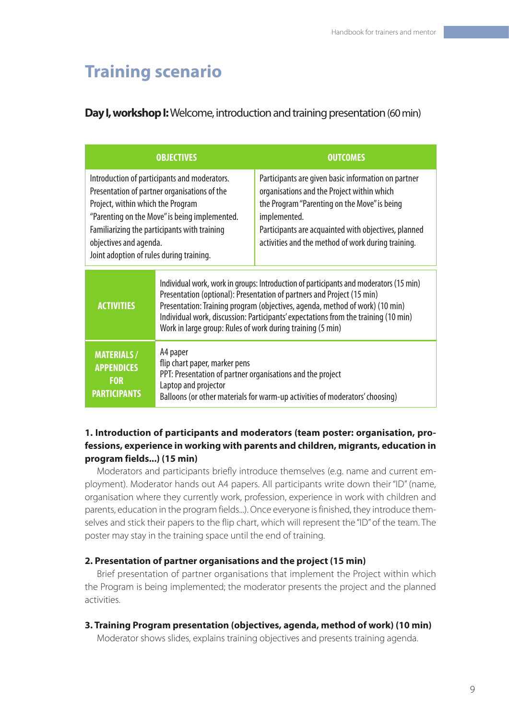# **Training scenario**

# **Day I, workshop I:** Welcome, introduction and training presentation (60 min)

|                                                                                                                                                                                                                                                                                                          | <b>OBJECTIVES</b>                                                                                                                                                                                                                                                                                                                                                                                   | <b>OUTCOMES</b>                                                                                                                                                                                                                                                                 |
|----------------------------------------------------------------------------------------------------------------------------------------------------------------------------------------------------------------------------------------------------------------------------------------------------------|-----------------------------------------------------------------------------------------------------------------------------------------------------------------------------------------------------------------------------------------------------------------------------------------------------------------------------------------------------------------------------------------------------|---------------------------------------------------------------------------------------------------------------------------------------------------------------------------------------------------------------------------------------------------------------------------------|
| Introduction of participants and moderators.<br>Presentation of partner organisations of the<br>Project, within which the Program<br>"Parenting on the Move" is being implemented.<br>Familiarizing the participants with training<br>objectives and agenda.<br>Joint adoption of rules during training. |                                                                                                                                                                                                                                                                                                                                                                                                     | Participants are given basic information on partner<br>organisations and the Project within which<br>the Program "Parenting on the Move" is being<br>implemented.<br>Participants are acquainted with objectives, planned<br>activities and the method of work during training. |
| <b>ACTIVITIES</b>                                                                                                                                                                                                                                                                                        | Individual work, work in groups: Introduction of participants and moderators (15 min)<br>Presentation (optional): Presentation of partners and Project (15 min)<br>Presentation: Training program (objectives, agenda, method of work) (10 min)<br>Individual work, discussion: Participants' expectations from the training (10 min)<br>Work in large group: Rules of work during training (5 min) |                                                                                                                                                                                                                                                                                 |
| <b>MATERIALS/</b><br><b>APPENDICES</b><br><b>FOR</b><br><b>PARTICIPANTS</b>                                                                                                                                                                                                                              | A4 paper<br>flip chart paper, marker pens<br>PPT: Presentation of partner organisations and the project<br>Laptop and projector<br>Balloons (or other materials for warm-up activities of moderators' choosing)                                                                                                                                                                                     |                                                                                                                                                                                                                                                                                 |

# **1. Introduction of participants and moderators (team poster: organisation, professions, experience in working with parents and children, migrants, education in program fields...) (15 min)**

Moderators and participants briefly introduce themselves (e.g. name and current employment). Moderator hands out A4 papers. All participants write down their "ID" (name, organisation where they currently work, profession, experience in work with children and parents, education in the program fields...). Once everyone is finished, they introduce themselves and stick their papers to the flip chart, which will represent the "ID" of the team. The poster may stay in the training space until the end of training.

# **2. Presentation of partner organisations and the project (15 min)**

Brief presentation of partner organisations that implement the Project within which the Program is being implemented; the moderator presents the project and the planned activities.

**3. Training Program presentation (objectives, agenda, method of work) (10 min)**

Moderator shows slides, explains training objectives and presents training agenda.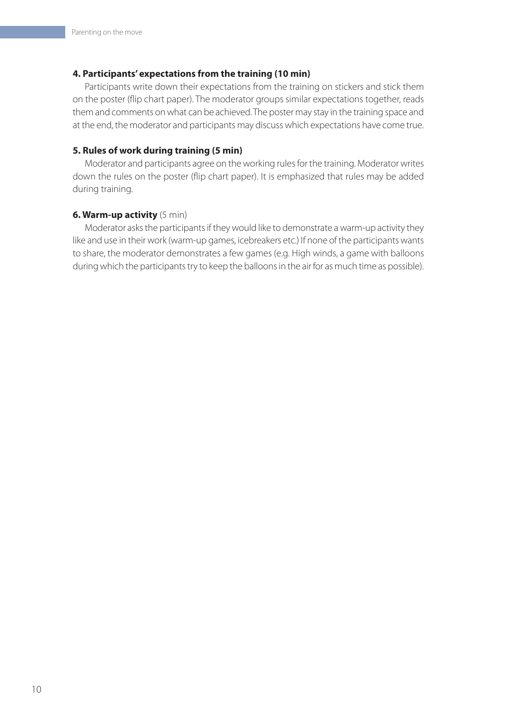#### **4. Participants' expectations from the training (10 min)**

Participants write down their expectations from the training on stickers and stick them on the poster (flip chart paper). The moderator groups similar expectations together, reads them and comments on what can be achieved. The poster may stay in the training space and at the end, the moderator and participants may discuss which expectations have come true.

#### **5. Rules of work during training (5 min)**

Moderator and participants agree on the working rules for the training. Moderator writes down the rules on the poster (flip chart paper). It is emphasized that rules may be added during training.

#### **6. Warm-up activity** (5 min)

Moderator asks the participants if they would like to demonstrate a warm-up activity they like and use in their work (warm-up games, icebreakers etc.) If none of the participants wants to share, the moderator demonstrates a few games (e.g. High winds, a game with balloons during which the participants try to keep the balloons in the air for as much time as possible).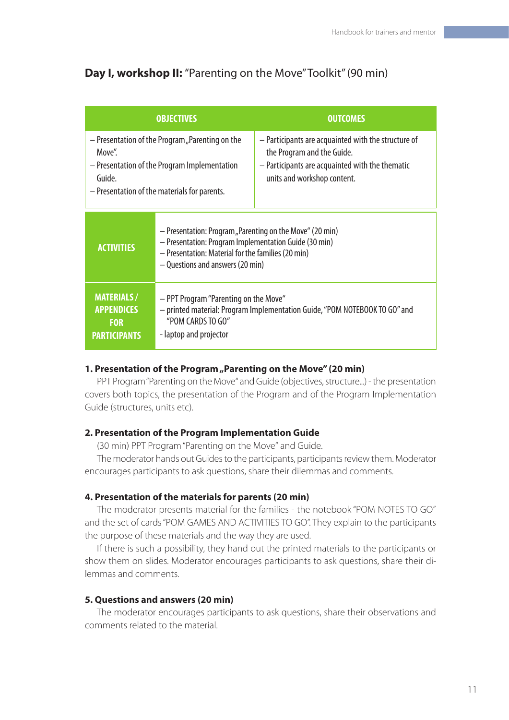# **Day I, workshop II:** "Parenting on the Move" Toolkit" (90 min)

|                                                                                                                                                                     | <b>OBJECTIVES</b>                                                                                                                                                                                           | <b>OUTCOMES</b>                                                                                                                                                     |
|---------------------------------------------------------------------------------------------------------------------------------------------------------------------|-------------------------------------------------------------------------------------------------------------------------------------------------------------------------------------------------------------|---------------------------------------------------------------------------------------------------------------------------------------------------------------------|
| - Presentation of the Program, Parenting on the<br>Move".<br>- Presentation of the Program Implementation<br>Guide.<br>- Presentation of the materials for parents. |                                                                                                                                                                                                             | - Participants are acquainted with the structure of<br>the Program and the Guide.<br>- Participants are acquainted with the thematic<br>units and workshop content. |
| <b>ACTIVITIES</b>                                                                                                                                                   | - Presentation: Program, Parenting on the Move" (20 min)<br>- Presentation: Program Implementation Guide (30 min)<br>- Presentation: Material for the families (20 min)<br>- Questions and answers (20 min) |                                                                                                                                                                     |
| <b>MATERIALS/</b><br><b>APPENDICES</b><br><b>FOR</b><br><b>PARTICIPANTS</b>                                                                                         | - PPT Program "Parenting on the Move"<br>- printed material: Program Implementation Guide, "POM NOTEBOOK TO GO" and<br>"POM CARDS TO GO"<br>- laptop and projector                                          |                                                                                                                                                                     |

# **1. Presentation of the Program, Parenting on the Move" (20 min)**

PPT Program "Parenting on the Move" and Guide (objectives, structure...) - the presentation covers both topics, the presentation of the Program and of the Program Implementation Guide (structures, units etc).

# **2. Presentation of the Program Implementation Guide**

(30 min) PPT Program "Parenting on the Move" and Guide.

The moderator hands out Guides to the participants, participants review them. Moderator encourages participants to ask questions, share their dilemmas and comments.

# **4. Presentation of the materials for parents (20 min)**

The moderator presents material for the families - the notebook "POM NOTES TO GO" and the set of cards "POM GAMES AND ACTIVITIES TO GO". They explain to the participants the purpose of these materials and the way they are used.

If there is such a possibility, they hand out the printed materials to the participants or show them on slides. Moderator encourages participants to ask questions, share their dilemmas and comments.

# **5. Questions and answers (20 min)**

The moderator encourages participants to ask questions, share their observations and comments related to the material.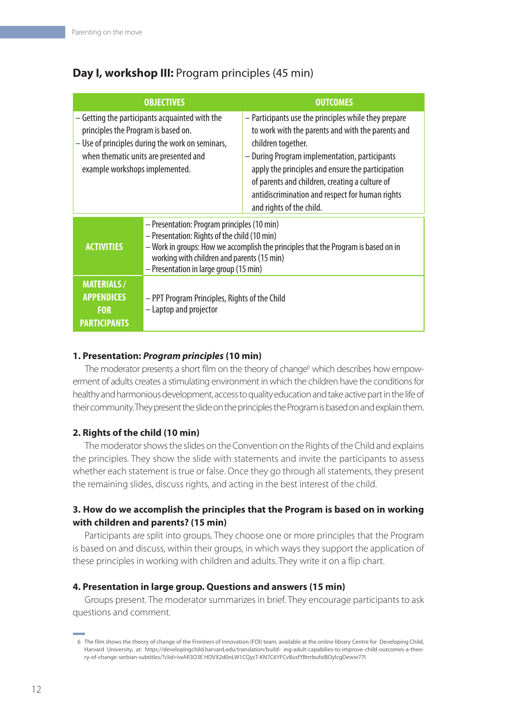|                                                                                                                                                                                                                      | <b>OBJECTIVES</b>                                                                                                                                                                                                                                                         | <b>OUTCOMES</b>                                                                                                                                                                                                                                                                                                                                                        |
|----------------------------------------------------------------------------------------------------------------------------------------------------------------------------------------------------------------------|---------------------------------------------------------------------------------------------------------------------------------------------------------------------------------------------------------------------------------------------------------------------------|------------------------------------------------------------------------------------------------------------------------------------------------------------------------------------------------------------------------------------------------------------------------------------------------------------------------------------------------------------------------|
| - Getting the participants acquainted with the<br>principles the Program is based on.<br>- Use of principles during the work on seminars,<br>when thematic units are presented and<br>example workshops implemented. |                                                                                                                                                                                                                                                                           | - Participants use the principles while they prepare<br>to work with the parents and with the parents and<br>children together.<br>- During Program implementation, participants<br>apply the principles and ensure the participation<br>of parents and children, creating a culture of<br>antidiscrimination and respect for human rights<br>and rights of the child. |
| <b>ACTIVITIES</b>                                                                                                                                                                                                    | - Presentation: Program principles (10 min)<br>- Presentation: Rights of the child (10 min)<br>- Work in groups: How we accomplish the principles that the Program is based on in<br>working with children and parents (15 min)<br>- Presentation in large group (15 min) |                                                                                                                                                                                                                                                                                                                                                                        |
| <b>MATERIALS/</b><br><b>APPENDICES</b><br><b>FOR</b><br><b>PARTICIPANTS</b>                                                                                                                                          | - PPT Program Principles, Rights of the Child<br>- Laptop and projector                                                                                                                                                                                                   |                                                                                                                                                                                                                                                                                                                                                                        |

# **Day I, workshop III:** Program principles (45 min)

# **1. Presentation:** *Program principles* **(10 min)**

The moderator presents a short film on the theory of change<sup>6</sup> which describes how empowerment of adults creates a stimulating environment in which the children have the conditions for healthy and harmonious development, access to quality education and take active part in the life of their community. They present the slide on the principles the Program is based on and explain them.

# **2. Rights of the child (10 min)**

The moderator shows the slides on the Convention on the Rights of the Child and explains the principles. They show the slide with statements and invite the participants to assess whether each statement is true or false. Once they go through all statements, they present the remaining slides, discuss rights, and acting in the best interest of the child.

# **3. How do we accomplish the principles that the Program is based on in working with children and parents? (15 min)**

Participants are split into groups. They choose one or more principles that the Program is based on and discuss, within their groups, in which ways they support the application of these principles in working with children and adults. They write it on a flip chart.

# **4. Presentation in large group. Questions and answers (15 min)**

Groups present. The moderator summarizes in brief. They encourage participants to ask questions and comment.

<sup>6</sup> The film shows the theory of change of the Frontiers of Innovation (FOI) team, available at the online library Centre for Developing Child, Harvard University, at: https://developingchild.harvard.edu/translation/build- ing-adult-capabilies-to-improve-child-outcomes-a-theory-of-change-serbian-subtitles/?clid=IwAR3O3E HDVX2d0nLW1CQycT-KN7C6YFCvBusfYBtrrbufxiBOylcgDeww77I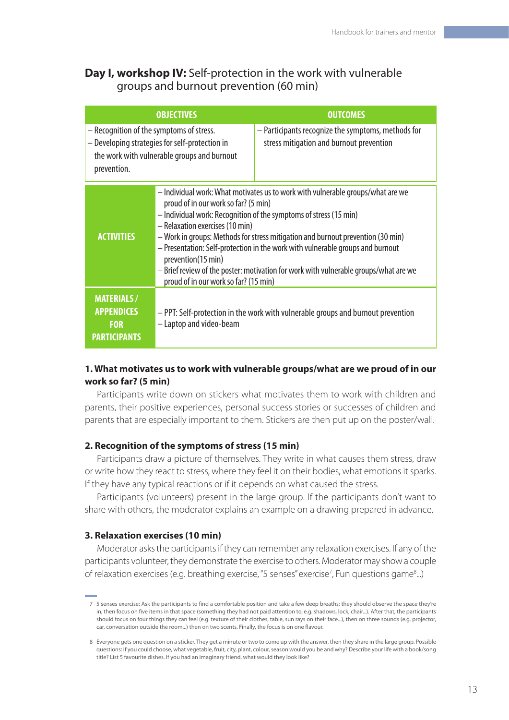# **Day I, workshop IV:** Self-protection in the work with vulnerable groups and burnout prevention (60 min)

|                                                                                                                                                          | <b>OBJECTIVES</b>                                                                                                                                                                                                                                                                                                                                                                                                                                                                                                                                           | <b>OUTCOMES</b>                                                                                |
|----------------------------------------------------------------------------------------------------------------------------------------------------------|-------------------------------------------------------------------------------------------------------------------------------------------------------------------------------------------------------------------------------------------------------------------------------------------------------------------------------------------------------------------------------------------------------------------------------------------------------------------------------------------------------------------------------------------------------------|------------------------------------------------------------------------------------------------|
| - Recognition of the symptoms of stress.<br>- Developing strategies for self-protection in<br>the work with vulnerable groups and burnout<br>prevention. |                                                                                                                                                                                                                                                                                                                                                                                                                                                                                                                                                             | - Participants recognize the symptoms, methods for<br>stress mitigation and burnout prevention |
| <b>ACTIVITIES</b>                                                                                                                                        | – Individual work: What motivates us to work with vulnerable groups/what are we<br>proud of in our work so far? (5 min)<br>- Individual work: Recognition of the symptoms of stress (15 min)<br>- Relaxation exercises (10 min)<br>- Work in groups: Methods for stress mitigation and burnout prevention (30 min)<br>- Presentation: Self-protection in the work with vulnerable groups and burnout<br>prevention(15 min)<br>- Brief review of the poster: motivation for work with vulnerable groups/what are we<br>proud of in our work so far? (15 min) |                                                                                                |
| <b>MATERIALS/</b><br><b>APPENDICES</b><br><b>FOR</b><br><b>PARTICIPANTS</b>                                                                              | - PPT: Self-protection in the work with vulnerable groups and burnout prevention<br>- Laptop and video-beam                                                                                                                                                                                                                                                                                                                                                                                                                                                 |                                                                                                |

# **1. What motivates us to work with vulnerable groups/what are we proud of in our work so far? (5 min)**

Participants write down on stickers what motivates them to work with children and parents, their positive experiences, personal success stories or successes of children and parents that are especially important to them. Stickers are then put up on the poster/wall.

#### **2. Recognition of the symptoms of stress (15 min)**

Participants draw a picture of themselves. They write in what causes them stress, draw or write how they react to stress, where they feel it on their bodies, what emotions it sparks. If they have any typical reactions or if it depends on what caused the stress.

Participants (volunteers) present in the large group. If the participants don't want to share with others, the moderator explains an example on a drawing prepared in advance.

#### **3. Relaxation exercises (10 min)**

Moderator asks the participants if they can remember any relaxation exercises. If any of the participants volunteer, they demonstrate the exercise to others. Moderator may show a couple of relaxation exercises (e.g. breathing exercise, "5 senses" exercise<sup>7</sup>, Fun questions game<sup>8</sup>...)

<sup>7 5</sup> senses exercise: Ask the participants to find a comfortable position and take a few deep breaths; they should observe the space they're in, then focus on five items in that space (something they had not paid attention to, e.g. shadows, lock, chair...). After that, the participants should focus on four things they can feel (e.g. texture of their clothes, table, sun rays on their face...), then on three sounds (e.g. projector, car, conversation outside the room...) then on two scents. Finally, the focus is on one flavour.

<sup>8</sup> Everyone gets one question on a sticker. They get a minute or two to come up with the answer, then they share in the large group. Possible questions: If you could choose, what vegetable, fruit, city, plant, colour, season would you be and why? Describe your life with a book/song title? List 5 favourite dishes. If you had an imaginary friend, what would they look like?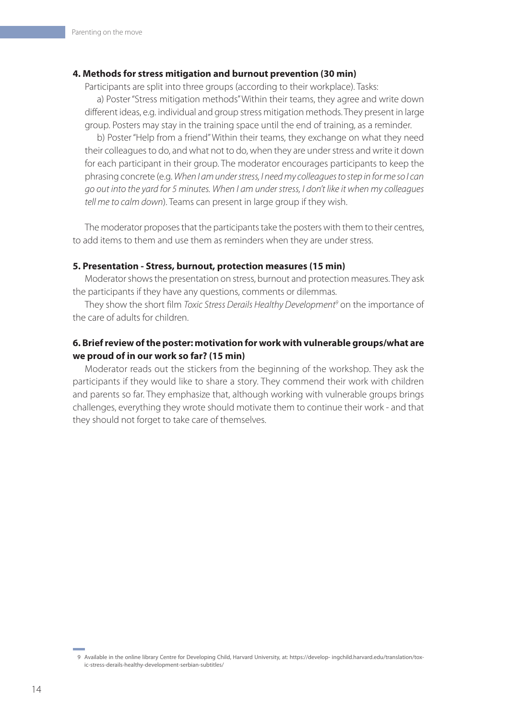#### **4. Methods for stress mitigation and burnout prevention (30 min)**

Participants are split into three groups (according to their workplace). Tasks:

a) Poster "Stress mitigation methods" Within their teams, they agree and write down different ideas, e.g. individual and group stress mitigation methods. They present in large group. Posters may stay in the training space until the end of training, as a reminder.

b) Poster "Help from a friend" Within their teams, they exchange on what they need their colleagues to do, and what not to do, when they are under stress and write it down for each participant in their group. The moderator encourages participants to keep the phrasing concrete (e.g. *When I am under stress, I need my colleagues to step in for me so I can go out into the yard for 5 minutes. When I am under stress, I don't like it when my colleagues tell me to calm down*). Teams can present in large group if they wish.

The moderator proposes that the participants take the posters with them to their centres, to add items to them and use them as reminders when they are under stress.

#### **5. Presentation - Stress, burnout, protection measures (15 min)**

Moderator shows the presentation on stress, burnout and protection measures. They ask the participants if they have any questions, comments or dilemmas.

They show the short film *Toxic Stress Derails Healthy Development<sup>9</sup>* on the importance of the care of adults for children.

# **6. Brief review of the poster: motivation for work with vulnerable groups/what are we proud of in our work so far? (15 min)**

Moderator reads out the stickers from the beginning of the workshop. They ask the participants if they would like to share a story. They commend their work with children and parents so far. They emphasize that, although working with vulnerable groups brings challenges, everything they wrote should motivate them to continue their work - and that they should not forget to take care of themselves.

<sup>9</sup> Available in the online library Centre for Developing Child, Harvard University, at: https://develop- ingchild.harvard.edu/translation/toxic-stress-derails-healthy-development-serbian-subtitles/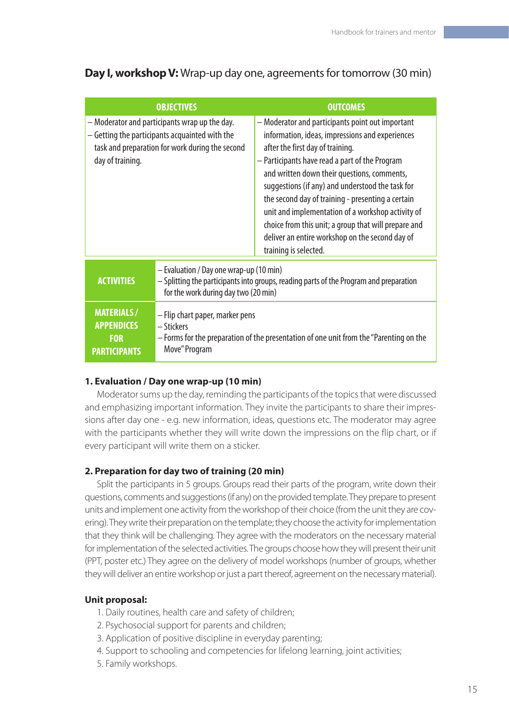**Day I, workshop V:** Wrap-up day one, agreements for tomorrow (30 min)

| <b>OBJECTIVES</b>                                                                                                                                                      |                                                                                                                                                                           | <b>OUTCOMES</b>                                                                                                                                                                                                                                                                                                                                                                                                                                                                                                                            |
|------------------------------------------------------------------------------------------------------------------------------------------------------------------------|---------------------------------------------------------------------------------------------------------------------------------------------------------------------------|--------------------------------------------------------------------------------------------------------------------------------------------------------------------------------------------------------------------------------------------------------------------------------------------------------------------------------------------------------------------------------------------------------------------------------------------------------------------------------------------------------------------------------------------|
| - Moderator and participants wrap up the day.<br>- Getting the participants acquainted with the<br>task and preparation for work during the second<br>day of training. |                                                                                                                                                                           | - Moderator and participants point out important<br>information, ideas, impressions and experiences<br>after the first day of training.<br>- Participants have read a part of the Program<br>and written down their questions, comments,<br>suggestions (if any) and understood the task for<br>the second day of training - presenting a certain<br>unit and implementation of a workshop activity of<br>choice from this unit; a group that will prepare and<br>deliver an entire workshop on the second day of<br>training is selected. |
| <b>ACTIVITIES</b>                                                                                                                                                      | - Evaluation / Day one wrap-up (10 min)<br>- Splitting the participants into groups, reading parts of the Program and preparation<br>for the work during day two (20 min) |                                                                                                                                                                                                                                                                                                                                                                                                                                                                                                                                            |
| <b>MATERIALS/</b><br><b>APPENDICES</b><br><b>FOR</b><br><b>PARTICIPANTS</b>                                                                                            | - Flip chart paper, marker pens<br>– Stickers<br>- Forms for the preparation of the presentation of one unit from the "Parenting on the<br>Move" Program                  |                                                                                                                                                                                                                                                                                                                                                                                                                                                                                                                                            |

# **1. Evaluation / Day one wrap-up (10 min)**

Moderator sums up the day, reminding the participants of the topics that were discussed and emphasizing important information. They invite the participants to share their impressions after day one - e.g. new information, ideas, questions etc. The moderator may agree with the participants whether they will write down the impressions on the flip chart, or if every participant will write them on a sticker.

# **2. Preparation for day two of training (20 min)**

Split the participants in 5 groups. Groups read their parts of the program, write down their questions, comments and suggestions (if any) on the provided template. They prepare to present units and implement one activity from the workshop of their choice (from the unit they are covering). They write their preparation on the template; they choose the activity for implementation that they think will be challenging. They agree with the moderators on the necessary material for implementation of the selected activities. The groups choose how they will present their unit (PPT, poster etc.) They agree on the delivery of model workshops (number of groups, whether they will deliver an entire workshop or just a part thereof, agreement on the necessary material).

# **Unit proposal:**

- 1. Daily routines, health care and safety of children;
- 2. Psychosocial support for parents and children;
- 3. Application of positive discipline in everyday parenting;
- 4. Support to schooling and competencies for lifelong learning, joint activities;
- 5. Family workshops.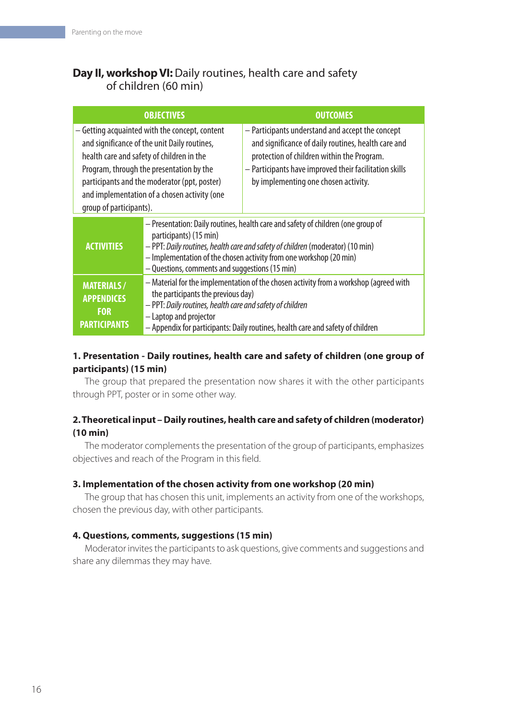# **Day II, workshop VI:** Daily routines, health care and safety of children (60 min)

|                                                                                                                                                                                                                                                                                                                    | <b>OBJECTIVES</b>                                                                                                                                                                                                                                                                                                    | <b>OUTCOMES</b>                                                                                                                                                                                                                                         |
|--------------------------------------------------------------------------------------------------------------------------------------------------------------------------------------------------------------------------------------------------------------------------------------------------------------------|----------------------------------------------------------------------------------------------------------------------------------------------------------------------------------------------------------------------------------------------------------------------------------------------------------------------|---------------------------------------------------------------------------------------------------------------------------------------------------------------------------------------------------------------------------------------------------------|
| – Getting acquainted with the concept, content<br>and significance of the unit Daily routines,<br>health care and safety of children in the<br>Program, through the presentation by the<br>participants and the moderator (ppt, poster)<br>and implementation of a chosen activity (one<br>group of participants). |                                                                                                                                                                                                                                                                                                                      | - Participants understand and accept the concept<br>and significance of daily routines, health care and<br>protection of children within the Program.<br>- Participants have improved their facilitation skills<br>by implementing one chosen activity. |
| <b>ACTIVITIES</b>                                                                                                                                                                                                                                                                                                  | - Presentation: Daily routines, health care and safety of children (one group of<br>participants) (15 min)<br>- PPT: Daily routines, health care and safety of children (moderator) (10 min)<br>- Implementation of the chosen activity from one workshop (20 min)<br>- Questions, comments and suggestions (15 min) |                                                                                                                                                                                                                                                         |
| <b>MATERIALS/</b><br><b>APPENDICES</b><br><b>FOR</b><br><b>PARTICIPANTS</b>                                                                                                                                                                                                                                        | - Material for the implementation of the chosen activity from a workshop (agreed with<br>the participants the previous day)<br>- PPT: Daily routines, health care and safety of children<br>- Laptop and projector<br>- Appendix for participants: Daily routines, health care and safety of children                |                                                                                                                                                                                                                                                         |

# **1. Presentation - Daily routines, health care and safety of children (one group of participants) (15 min)**

The group that prepared the presentation now shares it with the other participants through PPT, poster or in some other way.

# **2. Theoretical input – Daily routines, health care and safety of children (moderator) (10 min)**

The moderator complements the presentation of the group of participants, emphasizes objectives and reach of the Program in this field.

# **3. Implementation of the chosen activity from one workshop (20 min)**

The group that has chosen this unit, implements an activity from one of the workshops, chosen the previous day, with other participants.

# **4. Questions, comments, suggestions (15 min)**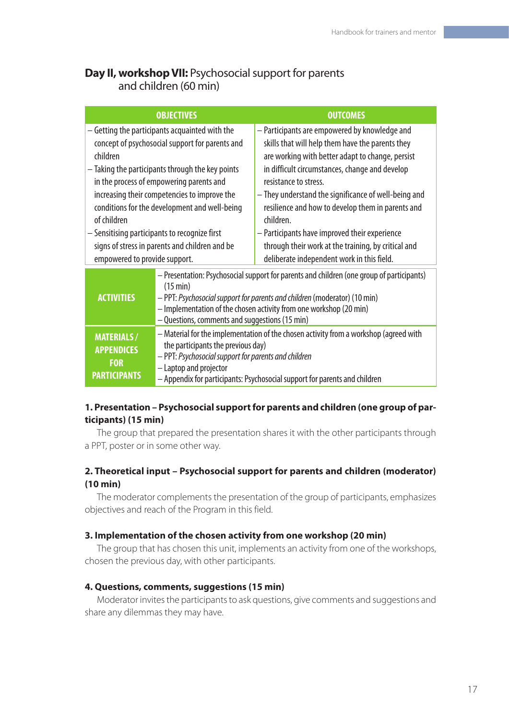# **Day II, workshop VII:** Psychosocial support for parents and children (60 min)

|                                                                                                                                                                                                                                                                                                                                                                                                                                                                   | <b>OBJECTIVES</b>                                                                                                                                                                                                                                                                                          | <b>OUTCOMES</b>                                                                                                                                                                                                                                                                                                                                                                                                                                                                                                  |
|-------------------------------------------------------------------------------------------------------------------------------------------------------------------------------------------------------------------------------------------------------------------------------------------------------------------------------------------------------------------------------------------------------------------------------------------------------------------|------------------------------------------------------------------------------------------------------------------------------------------------------------------------------------------------------------------------------------------------------------------------------------------------------------|------------------------------------------------------------------------------------------------------------------------------------------------------------------------------------------------------------------------------------------------------------------------------------------------------------------------------------------------------------------------------------------------------------------------------------------------------------------------------------------------------------------|
| - Getting the participants acquainted with the<br>concept of psychosocial support for parents and<br>children<br>- Taking the participants through the key points<br>in the process of empowering parents and<br>increasing their competencies to improve the<br>conditions for the development and well-being<br>of children<br>- Sensitising participants to recognize first<br>signs of stress in parents and children and be<br>empowered to provide support. |                                                                                                                                                                                                                                                                                                            | - Participants are empowered by knowledge and<br>skills that will help them have the parents they<br>are working with better adapt to change, persist<br>in difficult circumstances, change and develop<br>resistance to stress.<br>- They understand the significance of well-being and<br>resilience and how to develop them in parents and<br>children.<br>- Participants have improved their experience<br>through their work at the training, by critical and<br>deliberate independent work in this field. |
| <b>ACTIVITIES</b>                                                                                                                                                                                                                                                                                                                                                                                                                                                 | - Presentation: Psychosocial support for parents and children (one group of participants)<br>(15 min)<br>- PPT: Psychosocial support for parents and children (moderator) (10 min)<br>- Implementation of the chosen activity from one workshop (20 min)<br>- Questions, comments and suggestions (15 min) |                                                                                                                                                                                                                                                                                                                                                                                                                                                                                                                  |
| <b>MATERIALS/</b><br><b>APPENDICES</b><br><b>FOR</b><br><b>PARTICIPANTS</b>                                                                                                                                                                                                                                                                                                                                                                                       | - Material for the implementation of the chosen activity from a workshop (agreed with<br>the participants the previous day)<br>- PPT: Psychosocial support for parents and children<br>- Laptop and projector<br>- Appendix for participants: Psychosocial support for parents and children                |                                                                                                                                                                                                                                                                                                                                                                                                                                                                                                                  |

# **1. Presentation – Psychosocial support for parents and children (one group of participants) (15 min)**

The group that prepared the presentation shares it with the other participants through a PPT, poster or in some other way.

# **2. Theoretical input – Psychosocial support for parents and children (moderator) (10 min)**

The moderator complements the presentation of the group of participants, emphasizes objectives and reach of the Program in this field.

#### **3. Implementation of the chosen activity from one workshop (20 min)**

The group that has chosen this unit, implements an activity from one of the workshops, chosen the previous day, with other participants.

#### **4. Questions, comments, suggestions (15 min)**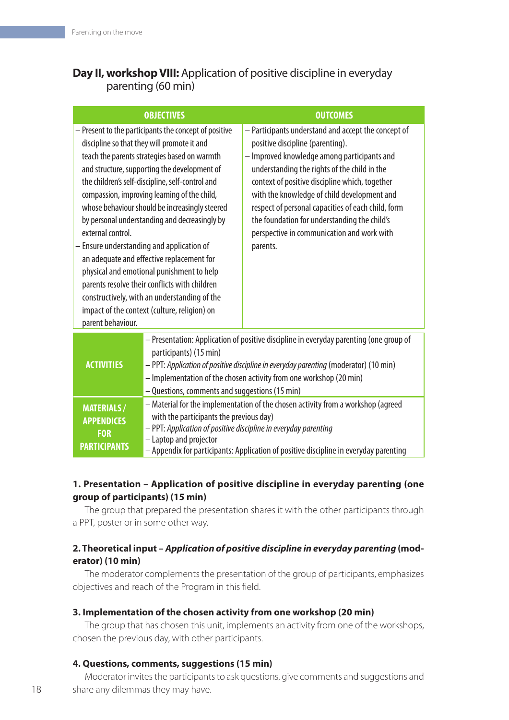# **Day II, workshop VIII:** Application of positive discipline in everyday parenting (60 min)

|                                                                                                                                                                                                                                                                                                                                                                                                                                                                                                                                                                                                                                                                                                                                               | <b>OBJECTIVES</b>                                                                                                                                                                                                                                                                                                                | <b>OUTCOMES</b>                                                                                                                                                                                                                                                                                                                                                                                                                                         |
|-----------------------------------------------------------------------------------------------------------------------------------------------------------------------------------------------------------------------------------------------------------------------------------------------------------------------------------------------------------------------------------------------------------------------------------------------------------------------------------------------------------------------------------------------------------------------------------------------------------------------------------------------------------------------------------------------------------------------------------------------|----------------------------------------------------------------------------------------------------------------------------------------------------------------------------------------------------------------------------------------------------------------------------------------------------------------------------------|---------------------------------------------------------------------------------------------------------------------------------------------------------------------------------------------------------------------------------------------------------------------------------------------------------------------------------------------------------------------------------------------------------------------------------------------------------|
| - Present to the participants the concept of positive<br>discipline so that they will promote it and<br>teach the parents strategies based on warmth<br>and structure, supporting the development of<br>the children's self-discipline, self-control and<br>compassion, improving learning of the child,<br>whose behaviour should be increasingly steered<br>by personal understanding and decreasingly by<br>external control.<br>- Ensure understanding and application of<br>an adequate and effective replacement for<br>physical and emotional punishment to help<br>parents resolve their conflicts with children<br>constructively, with an understanding of the<br>impact of the context (culture, religion) on<br>parent behaviour. |                                                                                                                                                                                                                                                                                                                                  | - Participants understand and accept the concept of<br>positive discipline (parenting).<br>- Improved knowledge among participants and<br>understanding the rights of the child in the<br>context of positive discipline which, together<br>with the knowledge of child development and<br>respect of personal capacities of each child, form<br>the foundation for understanding the child's<br>perspective in communication and work with<br>parents. |
| <b>ACTIVITIES</b>                                                                                                                                                                                                                                                                                                                                                                                                                                                                                                                                                                                                                                                                                                                             | - Presentation: Application of positive discipline in everyday parenting (one group of<br>participants) (15 min)<br>- PPT: Application of positive discipline in everyday parenting (moderator) (10 min)<br>- Implementation of the chosen activity from one workshop (20 min)<br>- Questions, comments and suggestions (15 min) |                                                                                                                                                                                                                                                                                                                                                                                                                                                         |
| <b>MATERIALS/</b><br><b>APPENDICES</b><br><b>FOR</b><br><b>PARTICIPANTS</b>                                                                                                                                                                                                                                                                                                                                                                                                                                                                                                                                                                                                                                                                   | - Material for the implementation of the chosen activity from a workshop (agreed<br>with the participants the previous day)<br>- PPT: Application of positive discipline in everyday parenting<br>- Laptop and projector<br>- Appendix for participants: Application of positive discipline in everyday parenting                |                                                                                                                                                                                                                                                                                                                                                                                                                                                         |

# **1. Presentation – Application of positive discipline in everyday parenting (one group of participants) (15 min)**

The group that prepared the presentation shares it with the other participants through a PPT, poster or in some other way.

# **2. Theoretical input –** *Application of positive discipline in everyday parenting* **(moderator) (10 min)**

The moderator complements the presentation of the group of participants, emphasizes objectives and reach of the Program in this field.

# **3. Implementation of the chosen activity from one workshop (20 min)**

The group that has chosen this unit, implements an activity from one of the workshops, chosen the previous day, with other participants.

# **4. Questions, comments, suggestions (15 min)**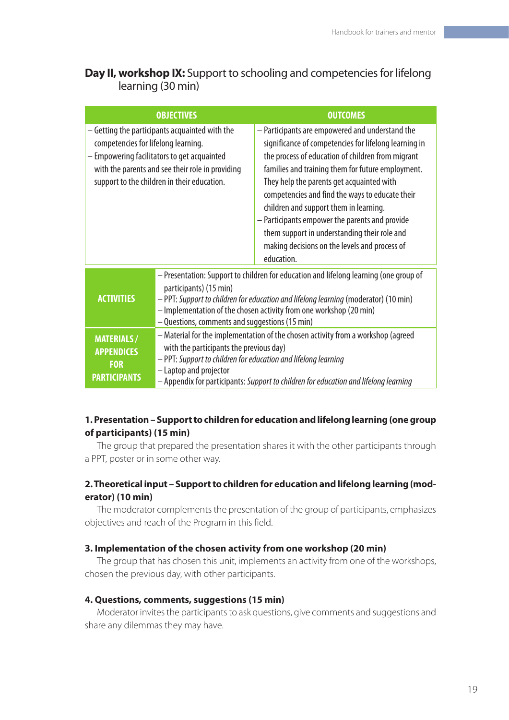# **Day II, workshop IX:** Support to schooling and competencies for lifelong learning (30 min)

|                                                                                                                                                                                                                                         | <b>OBJECTIVES</b>                                                                                                                                                                                                                                                                                                              | <b>OUTCOMES</b>                                                                                                                                                                                                                                                                                                                                                                                                                                                                                                               |
|-----------------------------------------------------------------------------------------------------------------------------------------------------------------------------------------------------------------------------------------|--------------------------------------------------------------------------------------------------------------------------------------------------------------------------------------------------------------------------------------------------------------------------------------------------------------------------------|-------------------------------------------------------------------------------------------------------------------------------------------------------------------------------------------------------------------------------------------------------------------------------------------------------------------------------------------------------------------------------------------------------------------------------------------------------------------------------------------------------------------------------|
| - Getting the participants acquainted with the<br>competencies for lifelong learning.<br>- Empowering facilitators to get acquainted<br>with the parents and see their role in providing<br>support to the children in their education. |                                                                                                                                                                                                                                                                                                                                | - Participants are empowered and understand the<br>significance of competencies for lifelong learning in<br>the process of education of children from migrant<br>families and training them for future employment.<br>They help the parents get acquainted with<br>competencies and find the ways to educate their<br>children and support them in learning.<br>- Participants empower the parents and provide<br>them support in understanding their role and<br>making decisions on the levels and process of<br>education. |
| <b>ACTIVITIES</b>                                                                                                                                                                                                                       | - Presentation: Support to children for education and lifelong learning (one group of<br>participants) (15 min)<br>- PPT: Support to children for education and lifelong learning (moderator) (10 min)<br>- Implementation of the chosen activity from one workshop (20 min)<br>- Questions, comments and suggestions (15 min) |                                                                                                                                                                                                                                                                                                                                                                                                                                                                                                                               |
| <b>MATERIALS/</b><br><b>APPENDICES</b><br><b>FOR</b><br><b>PARTICIPANTS</b>                                                                                                                                                             | - Material for the implementation of the chosen activity from a workshop (agreed<br>with the participants the previous day)<br>- PPT: Support to children for education and lifelong learning<br>- Laptop and projector<br>- Appendix for participants: Support to children for education and lifelong learning                |                                                                                                                                                                                                                                                                                                                                                                                                                                                                                                                               |

# **1. Presentation – Support to children for education and lifelong learning (one group of participants) (15 min)**

The group that prepared the presentation shares it with the other participants through a PPT, poster or in some other way.

# **2. Theoretical input – Support to children for education and lifelong learning (moderator) (10 min)**

The moderator complements the presentation of the group of participants, emphasizes objectives and reach of the Program in this field.

# **3. Implementation of the chosen activity from one workshop (20 min)**

The group that has chosen this unit, implements an activity from one of the workshops, chosen the previous day, with other participants.

#### **4. Questions, comments, suggestions (15 min)**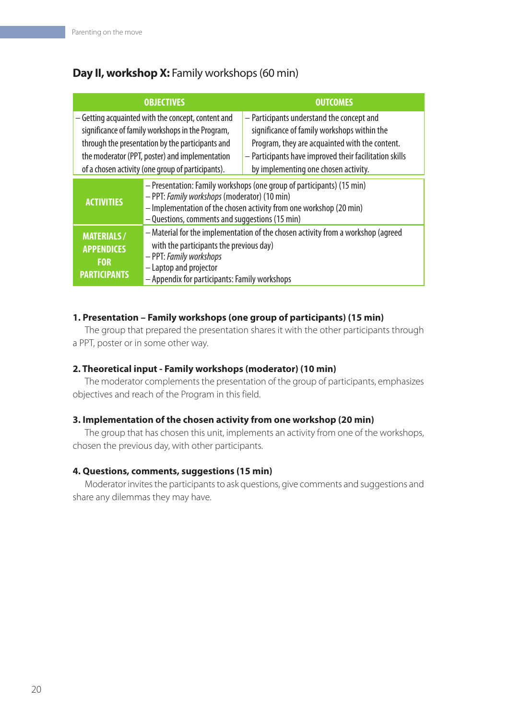# **Day II, workshop X:** Family workshops (60 min)

|                                                                                                                                                                                                                                                                   | <b>OBJECTIVES</b>                                                                                                                                                                                                                             | <b>OUTCOMES</b>                                                                                                                                                                                                                              |
|-------------------------------------------------------------------------------------------------------------------------------------------------------------------------------------------------------------------------------------------------------------------|-----------------------------------------------------------------------------------------------------------------------------------------------------------------------------------------------------------------------------------------------|----------------------------------------------------------------------------------------------------------------------------------------------------------------------------------------------------------------------------------------------|
| - Getting acquainted with the concept, content and<br>significance of family workshops in the Program,<br>through the presentation by the participants and<br>the moderator (PPT, poster) and implementation<br>of a chosen activity (one group of participants). |                                                                                                                                                                                                                                               | - Participants understand the concept and<br>significance of family workshops within the<br>Program, they are acquainted with the content.<br>- Participants have improved their facilitation skills<br>by implementing one chosen activity. |
| <b>ACTIVITIES</b>                                                                                                                                                                                                                                                 | - Presentation: Family workshops (one group of participants) (15 min)<br>- PPT: Family workshops (moderator) (10 min)<br>- Implementation of the chosen activity from one workshop (20 min)<br>- Questions, comments and suggestions (15 min) |                                                                                                                                                                                                                                              |
| <b>MATERIALS/</b><br><b>APPENDICES</b><br><b>FOR</b><br><b>PARTICIPANTS</b>                                                                                                                                                                                       | - Material for the implementation of the chosen activity from a workshop (agreed<br>with the participants the previous day)<br>- PPT: Family workshops<br>- Laptop and projector<br>- Appendix for participants: Family workshops             |                                                                                                                                                                                                                                              |

# **1. Presentation – Family workshops (one group of participants) (15 min)**

The group that prepared the presentation shares it with the other participants through a PPT, poster or in some other way.

# **2. Theoretical input - Family workshops (moderator) (10 min)**

The moderator complements the presentation of the group of participants, emphasizes objectives and reach of the Program in this field.

#### **3. Implementation of the chosen activity from one workshop (20 min)**

The group that has chosen this unit, implements an activity from one of the workshops, chosen the previous day, with other participants.

# **4. Questions, comments, suggestions (15 min)**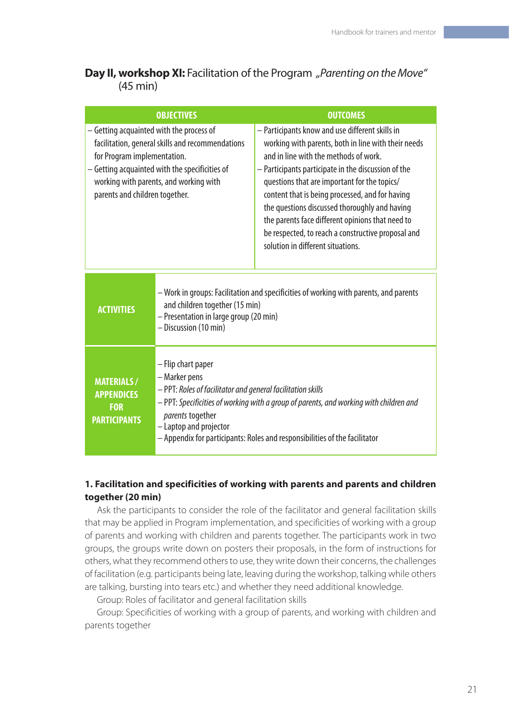# **Day II, workshop XI:** Facilitation of the Program *"Parenting on the Move"* (45 min)

|                                                                                                                                                                                                                                                           | <b>OBJECTIVES</b>                                                                                                                                                                                                                                                                                                        | <b>OUTCOMES</b>                                                                                                                                                                                                                                                                                                                                                                                                                                                                                           |
|-----------------------------------------------------------------------------------------------------------------------------------------------------------------------------------------------------------------------------------------------------------|--------------------------------------------------------------------------------------------------------------------------------------------------------------------------------------------------------------------------------------------------------------------------------------------------------------------------|-----------------------------------------------------------------------------------------------------------------------------------------------------------------------------------------------------------------------------------------------------------------------------------------------------------------------------------------------------------------------------------------------------------------------------------------------------------------------------------------------------------|
| - Getting acquainted with the process of<br>facilitation, general skills and recommendations<br>for Program implementation.<br>- Getting acquainted with the specificities of<br>working with parents, and working with<br>parents and children together. |                                                                                                                                                                                                                                                                                                                          | - Participants know and use different skills in<br>working with parents, both in line with their needs<br>and in line with the methods of work.<br>- Participants participate in the discussion of the<br>questions that are important for the topics/<br>content that is being processed, and for having<br>the questions discussed thoroughly and having<br>the parents face different opinions that need to<br>be respected, to reach a constructive proposal and<br>solution in different situations. |
| <b>ACTIVITIES</b>                                                                                                                                                                                                                                         | - Work in groups: Facilitation and specificities of working with parents, and parents<br>and children together (15 min)<br>- Presentation in large group (20 min)<br>- Discussion (10 min)                                                                                                                               |                                                                                                                                                                                                                                                                                                                                                                                                                                                                                                           |
| <b>MATERIALS/</b><br><b>APPENDICES</b><br><b>FOR</b><br><b>PARTICIPANTS</b>                                                                                                                                                                               | - Flip chart paper<br>- Marker pens<br>- PPT: Roles of facilitator and general facilitation skills<br>- PPT: Specificities of working with a group of parents, and working with children and<br>parents together<br>- Laptop and projector<br>- Appendix for participants: Roles and responsibilities of the facilitator |                                                                                                                                                                                                                                                                                                                                                                                                                                                                                                           |

# **1. Facilitation and specificities of working with parents and parents and children together (20 min)**

Ask the participants to consider the role of the facilitator and general facilitation skills that may be applied in Program implementation, and specificities of working with a group of parents and working with children and parents together. The participants work in two groups, the groups write down on posters their proposals, in the form of instructions for others, what they recommend others to use, they write down their concerns, the challenges of facilitation (e.g. participants being late, leaving during the workshop, talking while others are talking, bursting into tears etc.) and whether they need additional knowledge.

Group: Roles of facilitator and general facilitation skills

Group: Specificities of working with a group of parents, and working with children and parents together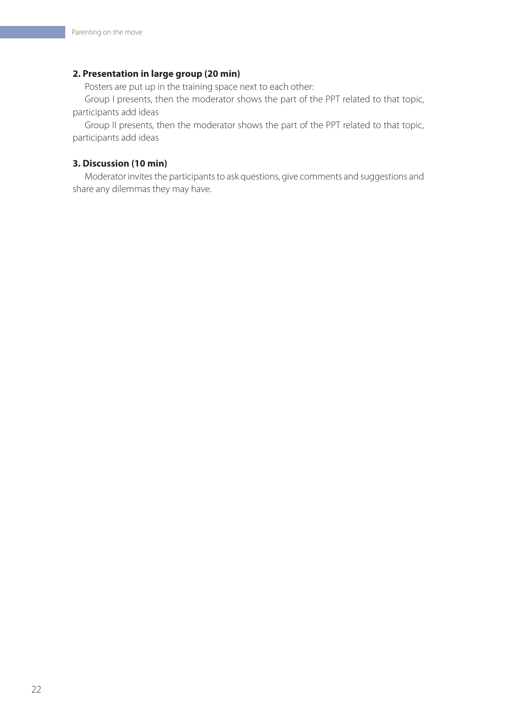#### **2. Presentation in large group (20 min)**

Posters are put up in the training space next to each other:

Group I presents, then the moderator shows the part of the PPT related to that topic, participants add ideas

Group II presents, then the moderator shows the part of the PPT related to that topic, participants add ideas

#### **3. Discussion (10 min)**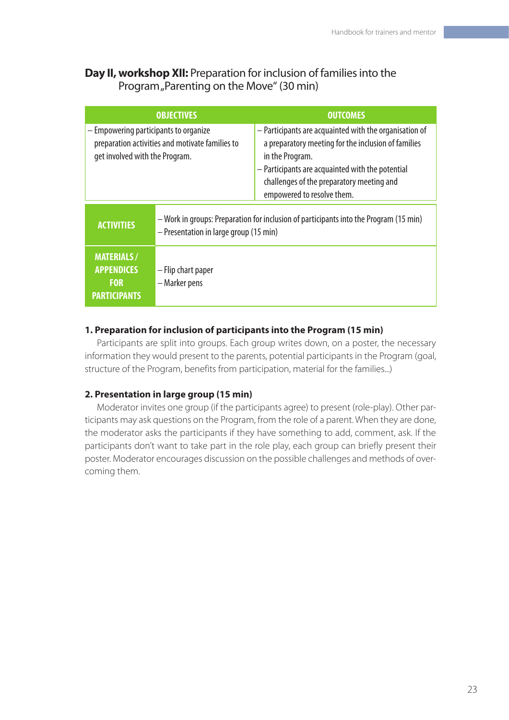# **Day II, workshop XII:** Preparation for inclusion of families into the Program "Parenting on the Move" (30 min)

| <b>OBJECTIVES</b>                                                                                                          |                                                                                                                                 | <b>OUTCOMES</b>                                                                                                                                                                                                                                                 |
|----------------------------------------------------------------------------------------------------------------------------|---------------------------------------------------------------------------------------------------------------------------------|-----------------------------------------------------------------------------------------------------------------------------------------------------------------------------------------------------------------------------------------------------------------|
| - Empowering participants to organize<br>preparation activities and motivate families to<br>get involved with the Program. |                                                                                                                                 | - Participants are acquainted with the organisation of<br>a preparatory meeting for the inclusion of families<br>in the Program.<br>- Participants are acquainted with the potential<br>challenges of the preparatory meeting and<br>empowered to resolve them. |
| <b>ACTIVITIES</b>                                                                                                          | - Work in groups: Preparation for inclusion of participants into the Program (15 min)<br>- Presentation in large group (15 min) |                                                                                                                                                                                                                                                                 |
| <b>MATERIALS/</b><br><b>APPENDICES</b><br><b>FOR</b><br><b>PARTICIPANTS</b>                                                | - Flip chart paper<br>- Marker pens                                                                                             |                                                                                                                                                                                                                                                                 |

# **1. Preparation for inclusion of participants into the Program (15 min)**

Participants are split into groups. Each group writes down, on a poster, the necessary information they would present to the parents, potential participants in the Program (goal, structure of the Program, benefits from participation, material for the families...)

# **2. Presentation in large group (15 min)**

Moderator invites one group (if the participants agree) to present (role-play). Other participants may ask questions on the Program, from the role of a parent. When they are done, the moderator asks the participants if they have something to add, comment, ask. If the participants don't want to take part in the role play, each group can briefly present their poster. Moderator encourages discussion on the possible challenges and methods of overcoming them.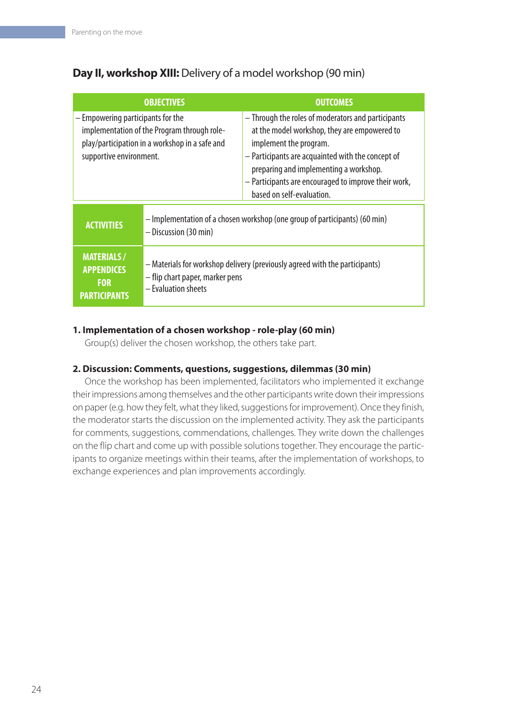# **Day II, workshop XIII:** Delivery of a model workshop (90 min)

|                                                                                                                                                               | <b>OBJECTIVES</b>                                                                                                                     | <b>OUTCOMES</b>                                                                                                                                                                                                                                                                                                  |
|---------------------------------------------------------------------------------------------------------------------------------------------------------------|---------------------------------------------------------------------------------------------------------------------------------------|------------------------------------------------------------------------------------------------------------------------------------------------------------------------------------------------------------------------------------------------------------------------------------------------------------------|
| - Empowering participants for the<br>implementation of the Program through role-<br>play/participation in a workshop in a safe and<br>supportive environment. |                                                                                                                                       | - Through the roles of moderators and participants<br>at the model workshop, they are empowered to<br>implement the program.<br>- Participants are acquainted with the concept of<br>preparing and implementing a workshop.<br>- Participants are encouraged to improve their work,<br>based on self-evaluation. |
| <b>ACTIVITIES</b>                                                                                                                                             | - Implementation of a chosen workshop (one group of participants) (60 min)<br>- Discussion (30 min)                                   |                                                                                                                                                                                                                                                                                                                  |
| <b>MATERIALS/</b><br><b>APPENDICES</b><br><b>FOR</b><br><b>PARTICIPANTS</b>                                                                                   | - Materials for workshop delivery (previously agreed with the participants)<br>- flip chart paper, marker pens<br>- Evaluation sheets |                                                                                                                                                                                                                                                                                                                  |

# **1. Implementation of a chosen workshop - role-play (60 min)**

Group(s) deliver the chosen workshop, the others take part.

# **2. Discussion: Comments, questions, suggestions, dilemmas (30 min)**

Once the workshop has been implemented, facilitators who implemented it exchange their impressions among themselves and the other participants write down their impressions on paper (e.g. how they felt, what they liked, suggestions for improvement). Once they finish, the moderator starts the discussion on the implemented activity. They ask the participants for comments, suggestions, commendations, challenges. They write down the challenges on the flip chart and come up with possible solutions together. They encourage the participants to organize meetings within their teams, after the implementation of workshops, to exchange experiences and plan improvements accordingly.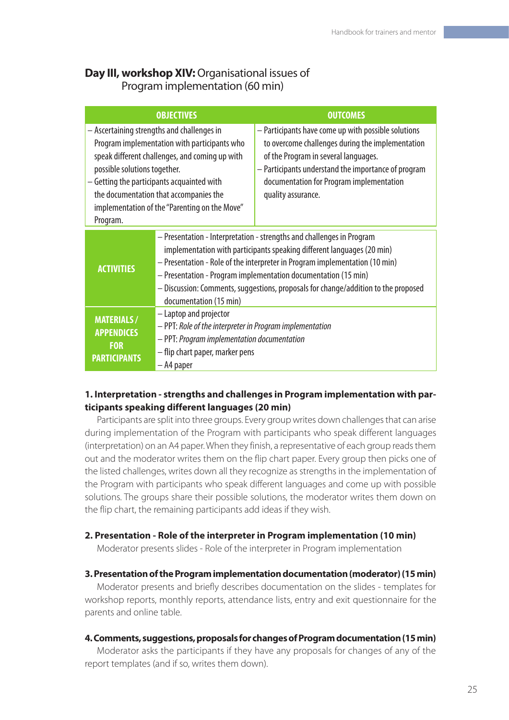# **Day III, workshop XIV: Organisational issues of** Program implementation (60 min)

|                                                                                                                                                                                                                                                                                                                                   | <b>OBJECTIVES</b>                                                                                                                                                                                                                                                                                                                                                                                                | <b>OUTCOMES</b>                                                                                                                                                                                                                                                          |
|-----------------------------------------------------------------------------------------------------------------------------------------------------------------------------------------------------------------------------------------------------------------------------------------------------------------------------------|------------------------------------------------------------------------------------------------------------------------------------------------------------------------------------------------------------------------------------------------------------------------------------------------------------------------------------------------------------------------------------------------------------------|--------------------------------------------------------------------------------------------------------------------------------------------------------------------------------------------------------------------------------------------------------------------------|
| - Ascertaining strengths and challenges in<br>Program implementation with participants who<br>speak different challenges, and coming up with<br>possible solutions together.<br>- Getting the participants acquainted with<br>the documentation that accompanies the<br>implementation of the "Parenting on the Move"<br>Program. |                                                                                                                                                                                                                                                                                                                                                                                                                  | - Participants have come up with possible solutions<br>to overcome challenges during the implementation<br>of the Program in several languages.<br>- Participants understand the importance of program<br>documentation for Program implementation<br>quality assurance. |
| <b>ACTIVITIES</b>                                                                                                                                                                                                                                                                                                                 | - Presentation - Interpretation - strengths and challenges in Program<br>implementation with participants speaking different languages (20 min)<br>- Presentation - Role of the interpreter in Program implementation (10 min)<br>- Presentation - Program implementation documentation (15 min)<br>- Discussion: Comments, suggestions, proposals for change/addition to the proposed<br>documentation (15 min) |                                                                                                                                                                                                                                                                          |
| <b>MATERIALS/</b><br><b>APPENDICES</b><br><b>FOR</b><br><b>PARTICIPANTS</b>                                                                                                                                                                                                                                                       | - Laptop and projector<br>- PPT: Role of the interpreter in Program implementation<br>- PPT: Program implementation documentation<br>- flip chart paper, marker pens<br>- A4 paper                                                                                                                                                                                                                               |                                                                                                                                                                                                                                                                          |

#### **1. Interpretation - strengths and challenges in Program implementation with participants speaking different languages (20 min)**

Participants are split into three groups. Every group writes down challenges that can arise during implementation of the Program with participants who speak different languages (interpretation) on an A4 paper. When they finish, a representative of each group reads them out and the moderator writes them on the flip chart paper. Every group then picks one of the listed challenges, writes down all they recognize as strengths in the implementation of the Program with participants who speak different languages and come up with possible solutions. The groups share their possible solutions, the moderator writes them down on the flip chart, the remaining participants add ideas if they wish.

#### **2. Presentation - Role of the interpreter in Program implementation (10 min)**

Moderator presents slides - Role of the interpreter in Program implementation

#### **3. Presentation of the Program implementation documentation (moderator) (15 min)**

Moderator presents and briefly describes documentation on the slides - templates for workshop reports, monthly reports, attendance lists, entry and exit questionnaire for the parents and online table.

#### **4. Comments, suggestions, proposals for changes of Program documentation (15 min)**

Moderator asks the participants if they have any proposals for changes of any of the report templates (and if so, writes them down).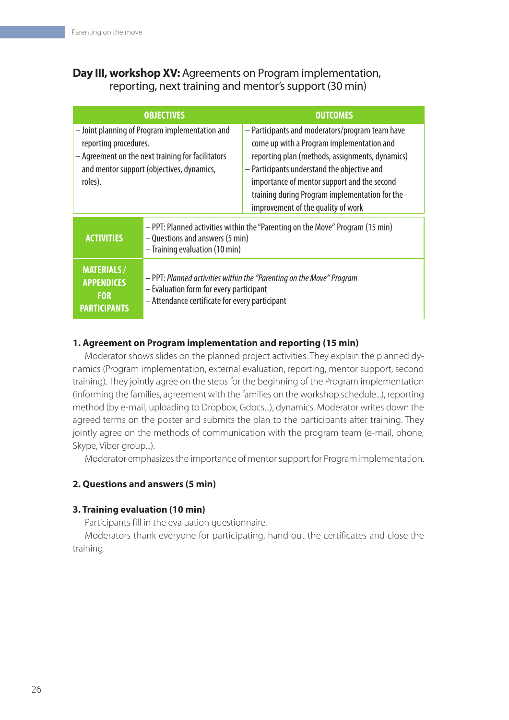# **Day III, workshop XV:** Agreements on Program implementation, reporting, next training and mentor's support (30 min)

|                                                                                                                                                                                      | <b>OBJECTIVES</b>                                                                                                                                                 | <b>OUTCOMES</b>                                                                                                                                                                                                                                                                                                                       |
|--------------------------------------------------------------------------------------------------------------------------------------------------------------------------------------|-------------------------------------------------------------------------------------------------------------------------------------------------------------------|---------------------------------------------------------------------------------------------------------------------------------------------------------------------------------------------------------------------------------------------------------------------------------------------------------------------------------------|
| - Joint planning of Program implementation and<br>reporting procedures.<br>- Agreement on the next training for facilitators<br>and mentor support (objectives, dynamics,<br>roles). |                                                                                                                                                                   | - Participants and moderators/program team have<br>come up with a Program implementation and<br>reporting plan (methods, assignments, dynamics)<br>- Participants understand the objective and<br>importance of mentor support and the second<br>training during Program implementation for the<br>improvement of the quality of work |
| <b>ACTIVITIES</b>                                                                                                                                                                    | - PPT: Planned activities within the "Parenting on the Move" Program (15 min)<br>- Questions and answers (5 min)<br>- Training evaluation (10 min)                |                                                                                                                                                                                                                                                                                                                                       |
| <b>MATERIALS/</b><br><b>APPENDICES</b><br><b>FOR</b><br><b>PARTICIPANTS</b>                                                                                                          | - PPT: Planned activities within the "Parenting on the Move" Program<br>- Evaluation form for every participant<br>- Attendance certificate for every participant |                                                                                                                                                                                                                                                                                                                                       |

# **1. Agreement on Program implementation and reporting (15 min)**

Moderator shows slides on the planned project activities. They explain the planned dynamics (Program implementation, external evaluation, reporting, mentor support, second training). They jointly agree on the steps for the beginning of the Program implementation (informing the families, agreement with the families on the workshop schedule...), reporting method (by e-mail, uploading to Dropbox, Gdocs...), dynamics. Moderator writes down the agreed terms on the poster and submits the plan to the participants after training. They jointly agree on the methods of communication with the program team (e-mail, phone, Skype, Viber group...).

Moderator emphasizes the importance of mentor support for Program implementation.

# **2. Questions and answers (5 min)**

# **3. Training evaluation (10 min)**

Participants fill in the evaluation questionnaire.

Moderators thank everyone for participating, hand out the certificates and close the training.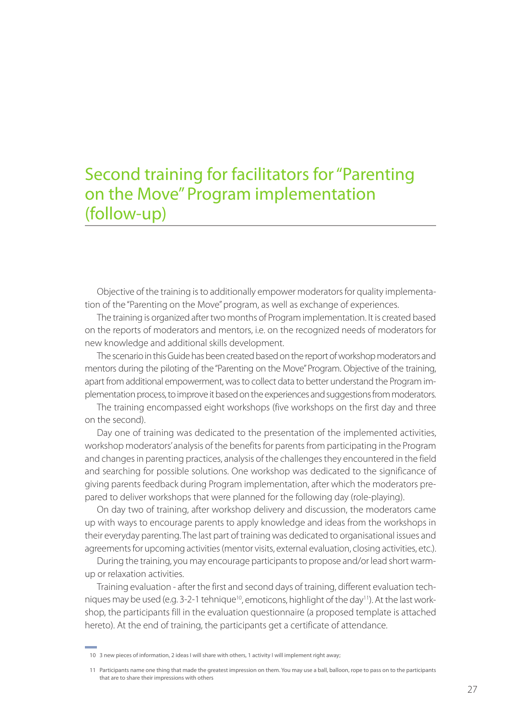# Second training for facilitators for "Parenting on the Move" Program implementation (follow-up)

Objective of the training is to additionally empower moderators for quality implementation of the "Parenting on the Move" program, as well as exchange of experiences.

The training is organized after two months of Program implementation. It is created based on the reports of moderators and mentors, i.e. on the recognized needs of moderators for new knowledge and additional skills development.

The scenario in this Guide has been created based on the report of workshop moderators and mentors during the piloting of the "Parenting on the Move" Program. Objective of the training, apart from additional empowerment, was to collect data to better understand the Program implementation process, to improve it based on the experiences and suggestions from moderators.

The training encompassed eight workshops (five workshops on the first day and three on the second).

Day one of training was dedicated to the presentation of the implemented activities, workshop moderators' analysis of the benefits for parents from participating in the Program and changes in parenting practices, analysis of the challenges they encountered in the field and searching for possible solutions. One workshop was dedicated to the significance of giving parents feedback during Program implementation, after which the moderators prepared to deliver workshops that were planned for the following day (role-playing).

On day two of training, after workshop delivery and discussion, the moderators came up with ways to encourage parents to apply knowledge and ideas from the workshops in their everyday parenting. The last part of training was dedicated to organisational issues and agreements for upcoming activities (mentor visits, external evaluation, closing activities, etc.).

During the training, you may encourage participants to propose and/or lead short warmup or relaxation activities.

Training evaluation - after the first and second days of training, different evaluation techniques may be used (e.g.  $3-2-1$  tehnique<sup>10</sup>, emoticons, highlight of the day<sup>11</sup>). At the last workshop, the participants fill in the evaluation questionnaire (a proposed template is attached hereto). At the end of training, the participants get a certificate of attendance.

<sup>10 3</sup> new pieces of information, 2 ideas I will share with others, 1 activity I will implement right away;

<sup>11</sup> Participants name one thing that made the greatest impression on them. You may use a ball, balloon, rope to pass on to the participants that are to share their impressions with others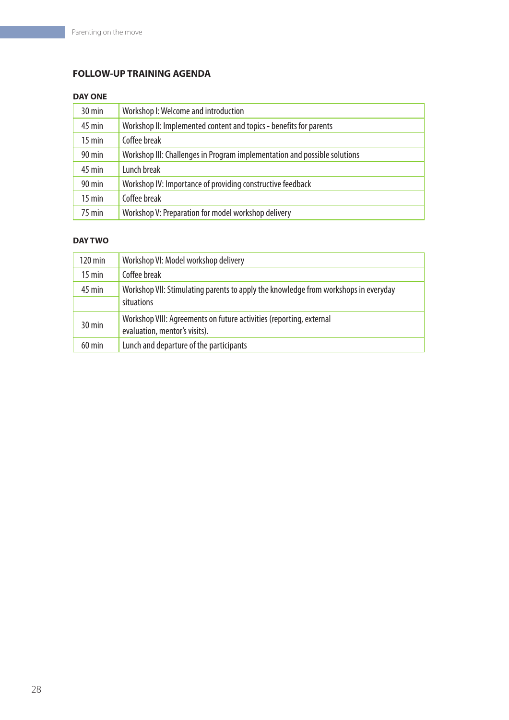# **FOLLOW-UP TRAINING AGENDA**

#### **DAY ONE**

| $30 \text{ min}$    | Workshop I: Welcome and introduction                                      |
|---------------------|---------------------------------------------------------------------------|
| $45 \text{ min}$    | Workshop II: Implemented content and topics - benefits for parents        |
| $15$ min            | Coffee break                                                              |
| $90 \text{ min}$    | Workshop III: Challenges in Program implementation and possible solutions |
| $45$ min            | Lunch break                                                               |
| $90 \,\mathrm{min}$ | Workshop IV: Importance of providing constructive feedback                |
| $15$ min            | Coffee break                                                              |
| $75$ min            | Workshop V: Preparation for model workshop delivery                       |

#### **DAY TWO**

| $120 \,\mathrm{min}$ | Workshop VI: Model workshop delivery                                                                 |
|----------------------|------------------------------------------------------------------------------------------------------|
| $15$ min             | Coffee break                                                                                         |
| 45 min               | Workshop VII: Stimulating parents to apply the knowledge from workshops in everyday                  |
|                      | situations                                                                                           |
| $30 \text{ min}$     | Workshop VIII: Agreements on future activities (reporting, external<br>evaluation, mentor's visits). |
| $60$ min             | Lunch and departure of the participants                                                              |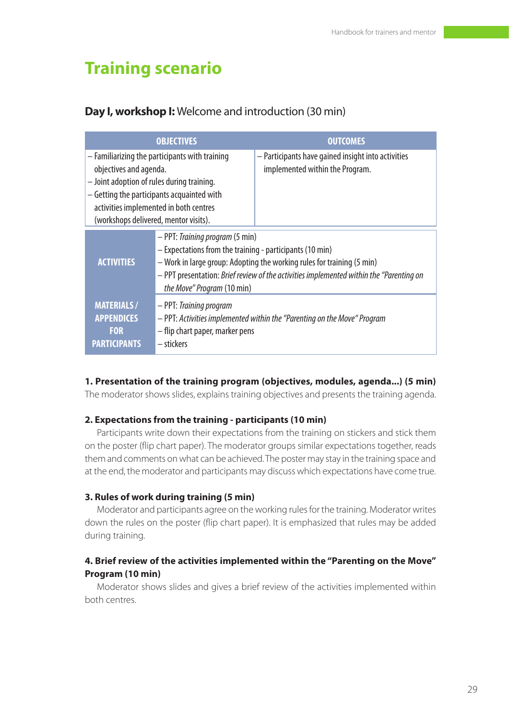# **Training scenario**

# **Day I, workshop I:** Welcome and introduction (30 min)

|                                                                                                                                                                                                                                                         | <b>OBJECTIVES</b>                                                                                                                                                                                                                                                                              | <b>OUTCOMES</b>                                                                       |
|---------------------------------------------------------------------------------------------------------------------------------------------------------------------------------------------------------------------------------------------------------|------------------------------------------------------------------------------------------------------------------------------------------------------------------------------------------------------------------------------------------------------------------------------------------------|---------------------------------------------------------------------------------------|
| - Familiarizing the participants with training<br>objectives and agenda.<br>- Joint adoption of rules during training.<br>- Getting the participants acquainted with<br>activities implemented in both centres<br>(workshops delivered, mentor visits). |                                                                                                                                                                                                                                                                                                | - Participants have gained insight into activities<br>implemented within the Program. |
| <b>ACTIVITIES</b>                                                                                                                                                                                                                                       | - PPT: Training program (5 min)<br>- Expectations from the training - participants (10 min)<br>- Work in large group: Adopting the working rules for training (5 min)<br>- PPT presentation: Brief review of the activities implemented within the "Parenting on<br>the Move" Program (10 min) |                                                                                       |
| <b>MATERIALS/</b><br><b>APPENDICES</b><br><b>FOR</b><br><b>PARTICIPANTS</b>                                                                                                                                                                             | - PPT: Training program<br>- flip chart paper, marker pens<br>– stickers                                                                                                                                                                                                                       | - PPT: Activities implemented within the "Parenting on the Move" Program              |

#### **1. Presentation of the training program (objectives, modules, agenda...) (5 min)**

The moderator shows slides, explains training objectives and presents the training agenda.

#### **2. Expectations from the training - participants (10 min)**

Participants write down their expectations from the training on stickers and stick them on the poster (flip chart paper). The moderator groups similar expectations together, reads them and comments on what can be achieved. The poster may stay in the training space and at the end, the moderator and participants may discuss which expectations have come true.

#### **3. Rules of work during training (5 min)**

Moderator and participants agree on the working rules for the training. Moderator writes down the rules on the poster (flip chart paper). It is emphasized that rules may be added during training.

#### **4. Brief review of the activities implemented within the "Parenting on the Move" Program (10 min)**

Moderator shows slides and gives a brief review of the activities implemented within both centres.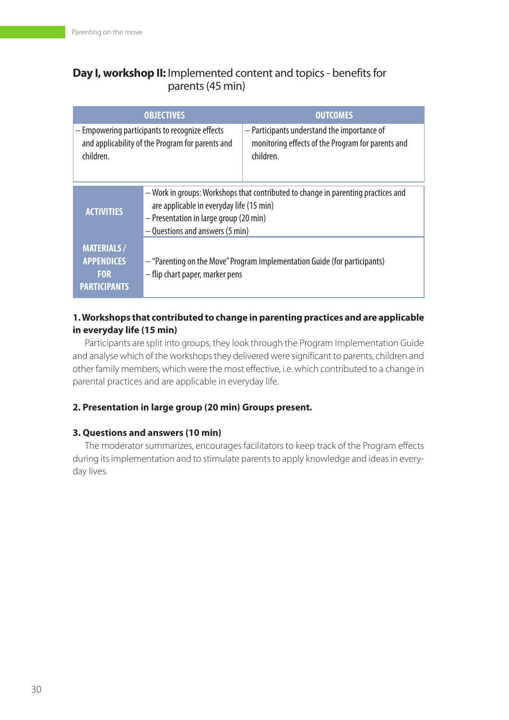# **Day I, workshop II:** Implemented content and topics - benefits for parents (45 min)

| <b>OBJECTIVES</b>                                                                                               |                                                                                                                                                                                                            | <b>OUTCOMES</b>                                                                                               |  |
|-----------------------------------------------------------------------------------------------------------------|------------------------------------------------------------------------------------------------------------------------------------------------------------------------------------------------------------|---------------------------------------------------------------------------------------------------------------|--|
| - Empowering participants to recognize effects<br>and applicability of the Program for parents and<br>children. |                                                                                                                                                                                                            | - Participants understand the importance of<br>monitoring effects of the Program for parents and<br>children. |  |
| <b>ACTIVITIES</b>                                                                                               | - Work in groups: Workshops that contributed to change in parenting practices and<br>are applicable in everyday life (15 min)<br>- Presentation in large group (20 min)<br>- Questions and answers (5 min) |                                                                                                               |  |
| <b>MATERIALS/</b><br><b>APPENDICES</b><br><b>FOR</b><br><b>PARTICIPANTS</b>                                     | - "Parenting on the Move" Program Implementation Guide (for participants)<br>- flip chart paper, marker pens                                                                                               |                                                                                                               |  |

# **1. Workshops that contributed to change in parenting practices and are applicable in everyday life (15 min)**

Participants are split into groups, they look through the Program Implementation Guide and analyse which of the workshops they delivered were significant to parents, children and other family members, which were the most effective, i.e. which contributed to a change in parental practices and are applicable in everyday life.

# **2. Presentation in large group (20 min) Groups present.**

# **3. Questions and answers (10 min)**

The moderator summarizes, encourages facilitators to keep track of the Program effects during its implementation and to stimulate parents to apply knowledge and ideas in everyday lives.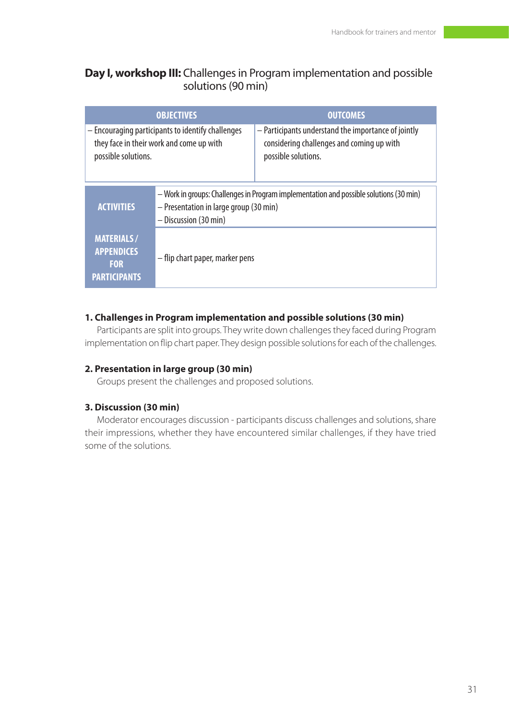# **Day I, workshop III:** Challenges in Program implementation and possible solutions (90 min)

| <b>OBJECTIVES</b>                                                                                                    |                                                                                                                                                           | <b>OUTCOMES</b>                                                                                                         |  |
|----------------------------------------------------------------------------------------------------------------------|-----------------------------------------------------------------------------------------------------------------------------------------------------------|-------------------------------------------------------------------------------------------------------------------------|--|
| - Encouraging participants to identify challenges<br>they face in their work and come up with<br>possible solutions. |                                                                                                                                                           | - Participants understand the importance of jointly<br>considering challenges and coming up with<br>possible solutions. |  |
| <b>ACTIVITIES</b>                                                                                                    | - Work in groups: Challenges in Program implementation and possible solutions (30 min)<br>- Presentation in large group (30 min)<br>- Discussion (30 min) |                                                                                                                         |  |
| <b>MATERIALS/</b><br><b>APPENDICES</b><br><b>FOR</b><br><b>PARTICIPANTS</b>                                          | - flip chart paper, marker pens                                                                                                                           |                                                                                                                         |  |

#### **1. Challenges in Program implementation and possible solutions (30 min)**

Participants are split into groups. They write down challenges they faced during Program implementation on flip chart paper. They design possible solutions for each of the challenges.

#### **2. Presentation in large group (30 min)**

Groups present the challenges and proposed solutions.

#### **3. Discussion (30 min)**

Moderator encourages discussion - participants discuss challenges and solutions, share their impressions, whether they have encountered similar challenges, if they have tried some of the solutions.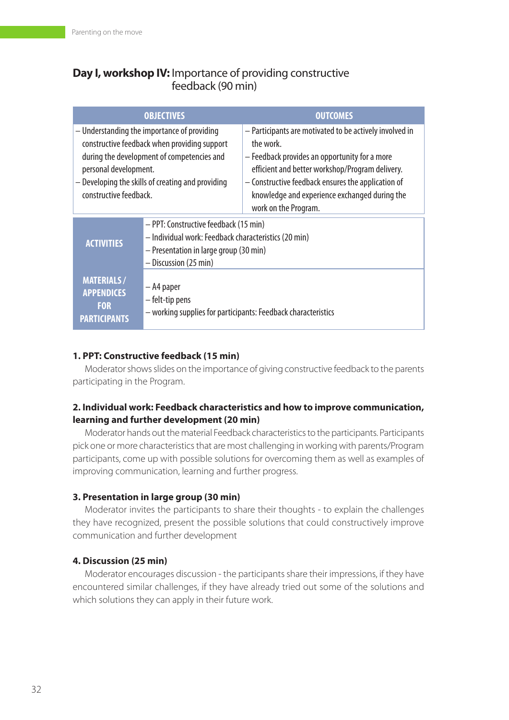# **Day I, workshop IV:** Importance of providing constructive feedback (90 min)

| <b>OBJECTIVES</b>                                                                                                                                                                                                                                 |                                                                                                                                                                  | <b>OUTCOMES</b>                                                                                                                                                                                                                                                                                        |  |
|---------------------------------------------------------------------------------------------------------------------------------------------------------------------------------------------------------------------------------------------------|------------------------------------------------------------------------------------------------------------------------------------------------------------------|--------------------------------------------------------------------------------------------------------------------------------------------------------------------------------------------------------------------------------------------------------------------------------------------------------|--|
| - Understanding the importance of providing<br>constructive feedback when providing support<br>during the development of competencies and<br>personal development.<br>- Developing the skills of creating and providing<br>constructive feedback. |                                                                                                                                                                  | - Participants are motivated to be actively involved in<br>the work<br>- Feedback provides an opportunity for a more<br>efficient and better workshop/Program delivery.<br>- Constructive feedback ensures the application of<br>knowledge and experience exchanged during the<br>work on the Program. |  |
| <b>ACTIVITIES</b>                                                                                                                                                                                                                                 | - PPT: Constructive feedback (15 min)<br>- Individual work: Feedback characteristics (20 min)<br>- Presentation in large group (30 min)<br>- Discussion (25 min) |                                                                                                                                                                                                                                                                                                        |  |
| <b>MATERIALS/</b><br><b>APPENDICES</b><br><b>FOR</b><br><b>PARTICIPANTS</b>                                                                                                                                                                       | – A4 paper<br>– felt-tip pens<br>- working supplies for participants: Feedback characteristics                                                                   |                                                                                                                                                                                                                                                                                                        |  |

# **1. PPT: Constructive feedback (15 min)**

Moderator shows slides on the importance of giving constructive feedback to the parents participating in the Program.

# **2. Individual work: Feedback characteristics and how to improve communication, learning and further development (20 min)**

Moderator hands out the material Feedback characteristics to the participants. Participants pick one or more characteristics that are most challenging in working with parents/Program participants, come up with possible solutions for overcoming them as well as examples of improving communication, learning and further progress.

# **3. Presentation in large group (30 min)**

Moderator invites the participants to share their thoughts - to explain the challenges they have recognized, present the possible solutions that could constructively improve communication and further development

# **4. Discussion (25 min)**

Moderator encourages discussion - the participants share their impressions, if they have encountered similar challenges, if they have already tried out some of the solutions and which solutions they can apply in their future work.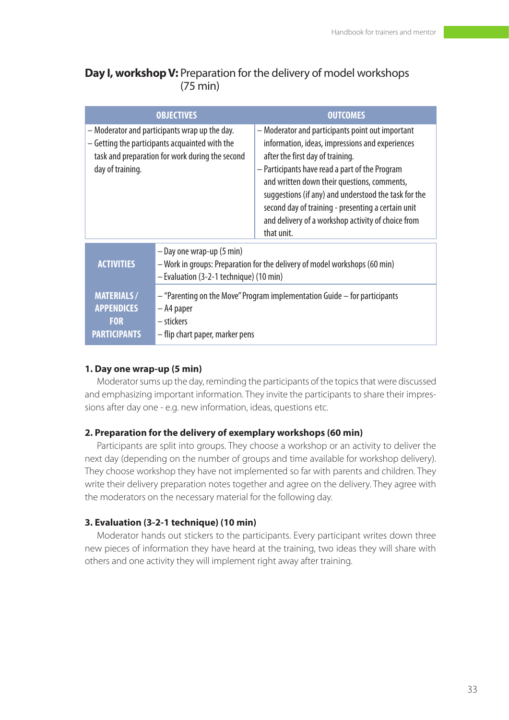# **Day I, workshop V:** Preparation for the delivery of model workshops (75 min)

| <b>OBJECTIVES</b>                                                                                                                                                      |                                                                                                                                                    | <b>OUTCOMES</b>                                                                                                                                                                                                                                                                                                                                                                                                            |  |
|------------------------------------------------------------------------------------------------------------------------------------------------------------------------|----------------------------------------------------------------------------------------------------------------------------------------------------|----------------------------------------------------------------------------------------------------------------------------------------------------------------------------------------------------------------------------------------------------------------------------------------------------------------------------------------------------------------------------------------------------------------------------|--|
| – Moderator and participants wrap up the day.<br>– Getting the participants acquainted with the<br>task and preparation for work during the second<br>day of training. |                                                                                                                                                    | - Moderator and participants point out important<br>information, ideas, impressions and experiences<br>after the first day of training.<br>- Participants have read a part of the Program<br>and written down their questions, comments,<br>suggestions (if any) and understood the task for the<br>second day of training - presenting a certain unit<br>and delivery of a workshop activity of choice from<br>that unit. |  |
| <b>ACTIVITIES</b>                                                                                                                                                      | - Day one wrap-up (5 min)<br>- Work in groups: Preparation for the delivery of model workshops (60 min)<br>- Evaluation (3-2-1 technique) (10 min) |                                                                                                                                                                                                                                                                                                                                                                                                                            |  |
| <b>MATERIALS/</b><br><b>APPENDICES</b><br><b>FOR</b><br><b>PARTICIPANTS</b>                                                                                            | - "Parenting on the Move" Program implementation Guide - for participants<br>– A4 paper<br>– stickers<br>– flip chart paper, marker pens           |                                                                                                                                                                                                                                                                                                                                                                                                                            |  |

#### **1. Day one wrap-up (5 min)**

Moderator sums up the day, reminding the participants of the topics that were discussed and emphasizing important information. They invite the participants to share their impressions after day one - e.g. new information, ideas, questions etc.

#### **2. Preparation for the delivery of exemplary workshops (60 min)**

Participants are split into groups. They choose a workshop or an activity to deliver the next day (depending on the number of groups and time available for workshop delivery). They choose workshop they have not implemented so far with parents and children. They write their delivery preparation notes together and agree on the delivery. They agree with the moderators on the necessary material for the following day.

#### **3. Evaluation (3-2-1 technique) (10 min)**

Moderator hands out stickers to the participants. Every participant writes down three new pieces of information they have heard at the training, two ideas they will share with others and one activity they will implement right away after training.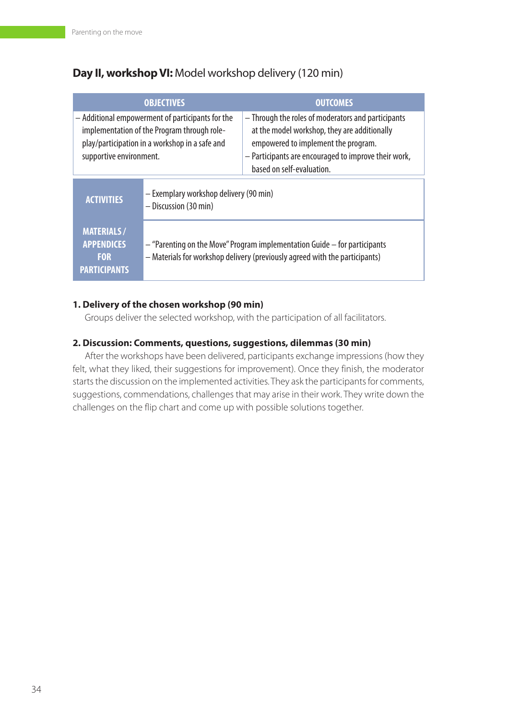# **Day II, workshop VI:** Model workshop delivery (120 min)

| <b>OBJECTIVES</b>                                                                                                                                                            |                                                                                                                                                                                                                                 | <b>OUTCOMES</b>                                                                                                                                                                                                                |  |
|------------------------------------------------------------------------------------------------------------------------------------------------------------------------------|---------------------------------------------------------------------------------------------------------------------------------------------------------------------------------------------------------------------------------|--------------------------------------------------------------------------------------------------------------------------------------------------------------------------------------------------------------------------------|--|
| - Additional empowerment of participants for the<br>implementation of the Program through role-<br>play/participation in a workshop in a safe and<br>supportive environment. |                                                                                                                                                                                                                                 | - Through the roles of moderators and participants<br>at the model workshop, they are additionally<br>empowered to implement the program.<br>- Participants are encouraged to improve their work,<br>based on self-evaluation. |  |
| <b>ACTIVITIES</b>                                                                                                                                                            | - Exemplary workshop delivery (90 min)<br>- Discussion (30 min)<br>$-$ "Parenting on the Move" Program implementation Guide $-$ for participants<br>- Materials for workshop delivery (previously agreed with the participants) |                                                                                                                                                                                                                                |  |
| <b>MATERIALS/</b><br><b>APPENDICES</b><br><b>FOR</b><br><b>PARTICIPANTS</b>                                                                                                  |                                                                                                                                                                                                                                 |                                                                                                                                                                                                                                |  |

# **1. Delivery of the chosen workshop (90 min)**

Groups deliver the selected workshop, with the participation of all facilitators.

# **2. Discussion: Comments, questions, suggestions, dilemmas (30 min)**

After the workshops have been delivered, participants exchange impressions (how they felt, what they liked, their suggestions for improvement). Once they finish, the moderator starts the discussion on the implemented activities. They ask the participants for comments, suggestions, commendations, challenges that may arise in their work. They write down the challenges on the flip chart and come up with possible solutions together.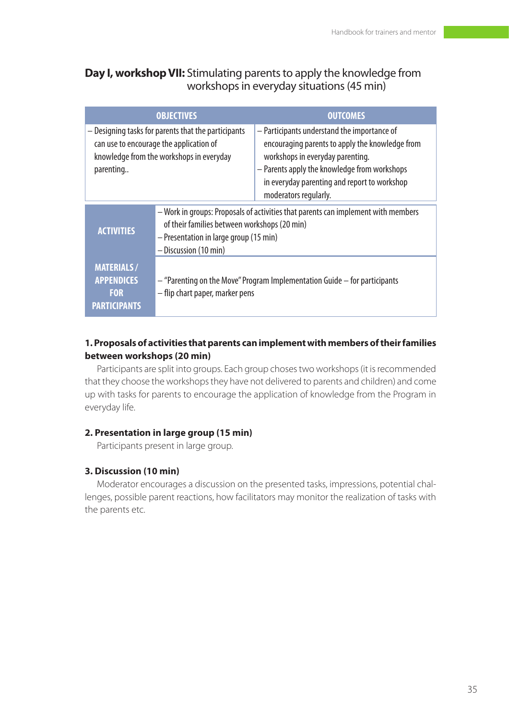# **Day I, workshop VII:** Stimulating parents to apply the knowledge from workshops in everyday situations (45 min)

| <b>OBJECTIVES</b>                                                                                                                                       |                                                                                                                                                                                                      | <b>OUTCOMES</b>                                                                                                                                                                                                                                             |  |
|---------------------------------------------------------------------------------------------------------------------------------------------------------|------------------------------------------------------------------------------------------------------------------------------------------------------------------------------------------------------|-------------------------------------------------------------------------------------------------------------------------------------------------------------------------------------------------------------------------------------------------------------|--|
| - Designing tasks for parents that the participants<br>can use to encourage the application of<br>knowledge from the workshops in everyday<br>parenting |                                                                                                                                                                                                      | - Participants understand the importance of<br>encouraging parents to apply the knowledge from<br>workshops in everyday parenting.<br>- Parents apply the knowledge from workshops<br>in everyday parenting and report to workshop<br>moderators regularly. |  |
| <b>ACTIVITIES</b>                                                                                                                                       | - Work in groups: Proposals of activities that parents can implement with members<br>of their families between workshops (20 min)<br>- Presentation in large group (15 min)<br>- Discussion (10 min) |                                                                                                                                                                                                                                                             |  |
| <b>MATERIALS/</b><br><b>APPENDICES</b><br><b>FOR</b><br><b>PARTICIPANTS</b>                                                                             | $-$ "Parenting on the Move" Program Implementation Guide $-$ for participants<br>- flip chart paper, marker pens                                                                                     |                                                                                                                                                                                                                                                             |  |

# **1. Proposals of activities that parents can implement with members of their families between workshops (20 min)**

Participants are split into groups. Each group choses two workshops (it is recommended that they choose the workshops they have not delivered to parents and children) and come up with tasks for parents to encourage the application of knowledge from the Program in everyday life.

# **2. Presentation in large group (15 min)**

Participants present in large group.

# **3. Discussion (10 min)**

Moderator encourages a discussion on the presented tasks, impressions, potential challenges, possible parent reactions, how facilitators may monitor the realization of tasks with the parents etc.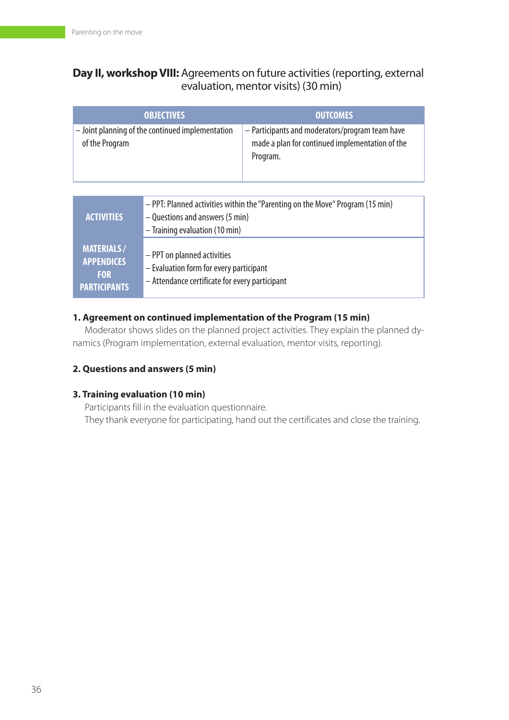# **Day II, workshop VIII:** Agreements on future activities (reporting, external evaluation, mentor visits) (30 min)

| <b>OBJECTIVES</b>                                                           |                                                                                                                                                      | <b>OUTCOMES</b>                                                                                                |  |
|-----------------------------------------------------------------------------|------------------------------------------------------------------------------------------------------------------------------------------------------|----------------------------------------------------------------------------------------------------------------|--|
| - Joint planning of the continued implementation<br>of the Program          |                                                                                                                                                      | - Participants and moderators/program team have<br>made a plan for continued implementation of the<br>Program. |  |
|                                                                             |                                                                                                                                                      |                                                                                                                |  |
| <b>ACTIVITIES</b>                                                           | - PPT: Planned activities within the "Parenting on the Move" Program (15 min)<br>- Questions and answers (5 min)<br>$-$ Training evaluation (10 min) |                                                                                                                |  |
| <b>MATERIALS/</b><br><b>APPENDICES</b><br><b>FOR</b><br><b>PARTICIPANTS</b> | - PPT on planned activities<br>- Evaluation form for every participant<br>- Attendance certificate for every participant                             |                                                                                                                |  |

# **1. Agreement on continued implementation of the Program (15 min)**

Moderator shows slides on the planned project activities. They explain the planned dynamics (Program implementation, external evaluation, mentor visits, reporting).

# **2. Questions and answers (5 min)**

# **3. Training evaluation (10 min)**

Participants fill in the evaluation questionnaire. They thank everyone for participating, hand out the certificates and close the training.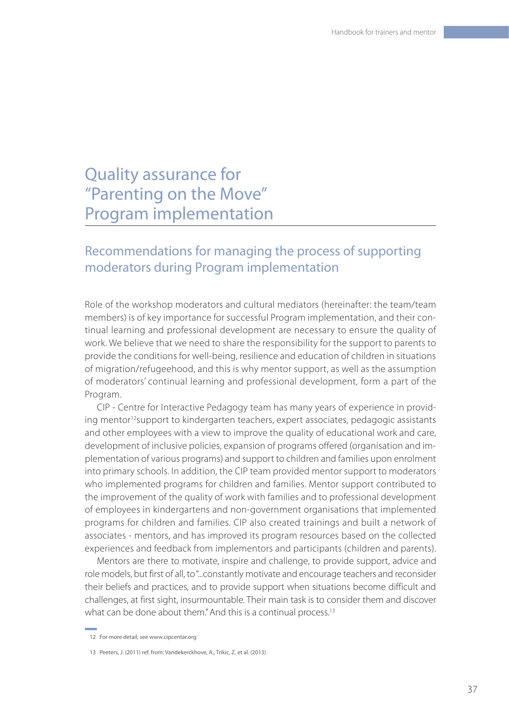# Quality assurance for "Parenting on the Move" Program implementation

# Recommendations for managing the process of supporting moderators during Program implementation

Role of the workshop moderators and cultural mediators (hereinafter: the team/team members) is of key importance for successful Program implementation, and their continual learning and professional development are necessary to ensure the quality of work. We believe that we need to share the responsibility for the support to parents to provide the conditions for well-being, resilience and education of children in situations of migration/refugeehood, and this is why mentor support, as well as the assumption of moderators' continual learning and professional development, form a part of the Program.

CIP - Centre for Interactive Pedagogy team has many years of experience in providing mentor<sup>12</sup>support to kindergarten teachers, expert associates, pedagogic assistants and other employees with a view to improve the quality of educational work and care, development of inclusive policies, expansion of programs offered (organisation and implementation of various programs) and support to children and families upon enrolment into primary schools. In addition, the CIP team provided mentor support to moderators who implemented programs for children and families. Mentor support contributed to the improvement of the quality of work with families and to professional development of employees in kindergartens and non-government organisations that implemented programs for children and families. CIP also created trainings and built a network of associates - mentors, and has improved its program resources based on the collected experiences and feedback from implementors and participants (children and parents).

Mentors are there to motivate, inspire and challenge, to provide support, advice and role models, but first of all, to "...constantly motivate and encourage teachers and reconsider their beliefs and practices, and to provide support when situations become difficult and challenges, at first sight, insurmountable. Their main task is to consider them and discover what can be done about them." And this is a continual process.<sup>13</sup>

<sup>12</sup> For more detail, see www.cipcentar.org

<sup>13</sup> Peeters, J. (2011) ref. from: Vandekerckhove, A., Trikic, Z. et al. (2013)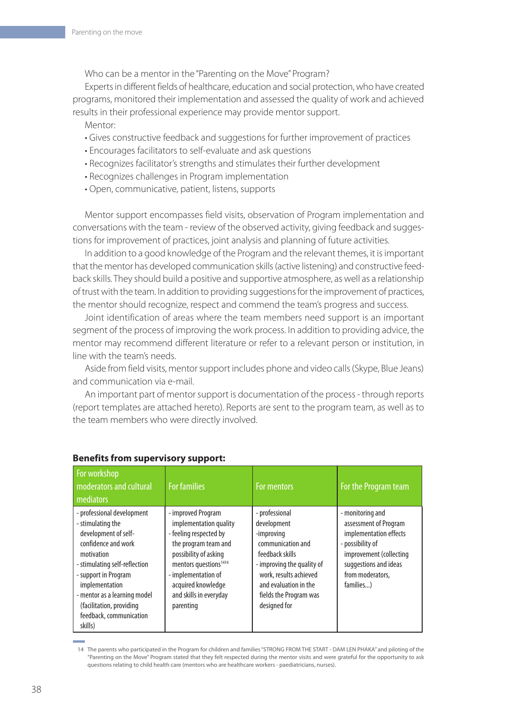Who can be a mentor in the "Parenting on the Move" Program?

Experts in different fields of healthcare, education and social protection, who have created programs, monitored their implementation and assessed the quality of work and achieved results in their professional experience may provide mentor support.

Mentor:

- Gives constructive feedback and suggestions for further improvement of practices
- Encourages facilitators to self-evaluate and ask questions
- Recognizes facilitator's strengths and stimulates their further development
- Recognizes challenges in Program implementation
- Open, communicative, patient, listens, supports

Mentor support encompasses field visits, observation of Program implementation and conversations with the team - review of the observed activity, giving feedback and suggestions for improvement of practices, joint analysis and planning of future activities.

In addition to a good knowledge of the Program and the relevant themes, it is important that the mentor has developed communication skills (active listening) and constructive feedback skills. They should build a positive and supportive atmosphere, as well as a relationship of trust with the team. In addition to providing suggestions for the improvement of practices, the mentor should recognize, respect and commend the team's progress and success.

Joint identification of areas where the team members need support is an important segment of the process of improving the work process. In addition to providing advice, the mentor may recommend different literature or refer to a relevant person or institution, in line with the team's needs.

Aside from field visits, mentor support includes phone and video calls (Skype, Blue Jeans) and communication via e-mail.

An important part of mentor support is documentation of the process - through reports (report templates are attached hereto). Reports are sent to the program team, as well as to the team members who were directly involved.

| For workshop<br>moderators and cultural<br><b>mediators</b>                                                                                                                                                                                                                             | <b>For families</b>                                                                                                                                                                                                                              | For mentors                                                                                                                                                                                                    | For the Program team                                                                                                                                                         |
|-----------------------------------------------------------------------------------------------------------------------------------------------------------------------------------------------------------------------------------------------------------------------------------------|--------------------------------------------------------------------------------------------------------------------------------------------------------------------------------------------------------------------------------------------------|----------------------------------------------------------------------------------------------------------------------------------------------------------------------------------------------------------------|------------------------------------------------------------------------------------------------------------------------------------------------------------------------------|
| - professional development<br>- stimulating the<br>development of self-<br>confidence and work<br>motivation<br>stimulating self-reflection<br>- support in Program<br>implementation<br>- mentor as a learning model<br>(facilitation, providing<br>feedback, communication<br>skills) | - improved Program<br>implementation quality<br>- feeling respected by<br>the program team and<br>possibility of asking<br>mentors questions <sup>1414</sup><br>- implementation of<br>acquired knowledge<br>and skills in everyday<br>parenting | - professional<br>development<br>-improving<br>communication and<br>feedback skills<br>- improving the quality of<br>work, results achieved<br>and evaluation in the<br>fields the Program was<br>designed for | - monitoring and<br>assessment of Program<br>implementation effects<br>- possibility of<br>improvement (collecting<br>suggestions and ideas<br>from moderators.<br>families) |

#### **Benefits from supervisory support:**

<sup>14</sup> The parents who participated in the Program for children and families "STRONG FROM THE START - DAM LEN PHAKA" and piloting of the "Parenting on the Move" Program stated that they felt respected during the mentor visits and were grateful for the opportunity to ask questions relating to child health care (mentors who are healthcare workers - paediatricians, nurses).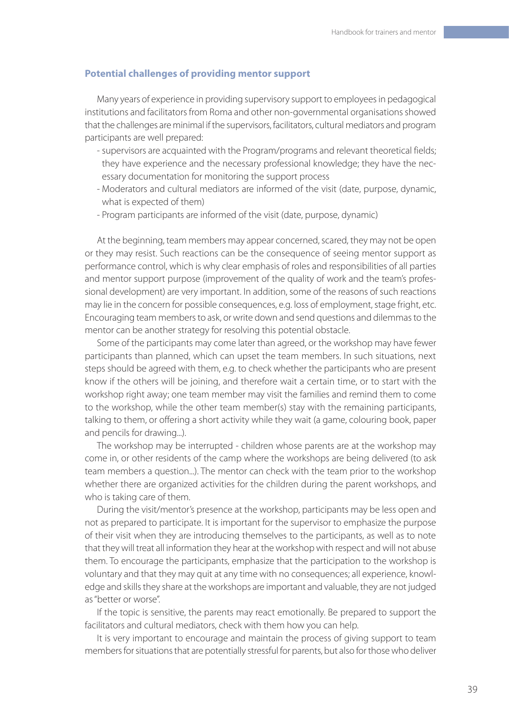#### **Potential challenges of providing mentor support**

Many years of experience in providing supervisory support to employees in pedagogical institutions and facilitators from Roma and other non-governmental organisations showed that the challenges are minimal if the supervisors, facilitators, cultural mediators and program participants are well prepared:

- supervisors are acquainted with the Program/programs and relevant theoretical fields; they have experience and the necessary professional knowledge; they have the necessary documentation for monitoring the support process
- Moderators and cultural mediators are informed of the visit (date, purpose, dynamic, what is expected of them)
- Program participants are informed of the visit (date, purpose, dynamic)

At the beginning, team members may appear concerned, scared, they may not be open or they may resist. Such reactions can be the consequence of seeing mentor support as performance control, which is why clear emphasis of roles and responsibilities of all parties and mentor support purpose (improvement of the quality of work and the team's professional development) are very important. In addition, some of the reasons of such reactions may lie in the concern for possible consequences, e.g. loss of employment, stage fright, etc. Encouraging team members to ask, or write down and send questions and dilemmas to the mentor can be another strategy for resolving this potential obstacle.

Some of the participants may come later than agreed, or the workshop may have fewer participants than planned, which can upset the team members. In such situations, next steps should be agreed with them, e.g. to check whether the participants who are present know if the others will be joining, and therefore wait a certain time, or to start with the workshop right away; one team member may visit the families and remind them to come to the workshop, while the other team member(s) stay with the remaining participants, talking to them, or offering a short activity while they wait (a game, colouring book, paper and pencils for drawing...).

The workshop may be interrupted - children whose parents are at the workshop may come in, or other residents of the camp where the workshops are being delivered (to ask team members a question...). The mentor can check with the team prior to the workshop whether there are organized activities for the children during the parent workshops, and who is taking care of them.

During the visit/mentor's presence at the workshop, participants may be less open and not as prepared to participate. It is important for the supervisor to emphasize the purpose of their visit when they are introducing themselves to the participants, as well as to note that they will treat all information they hear at the workshop with respect and will not abuse them. To encourage the participants, emphasize that the participation to the workshop is voluntary and that they may quit at any time with no consequences; all experience, knowledge and skills they share at the workshops are important and valuable, they are not judged as "better or worse".

If the topic is sensitive, the parents may react emotionally. Be prepared to support the facilitators and cultural mediators, check with them how you can help.

It is very important to encourage and maintain the process of giving support to team members for situations that are potentially stressful for parents, but also for those who deliver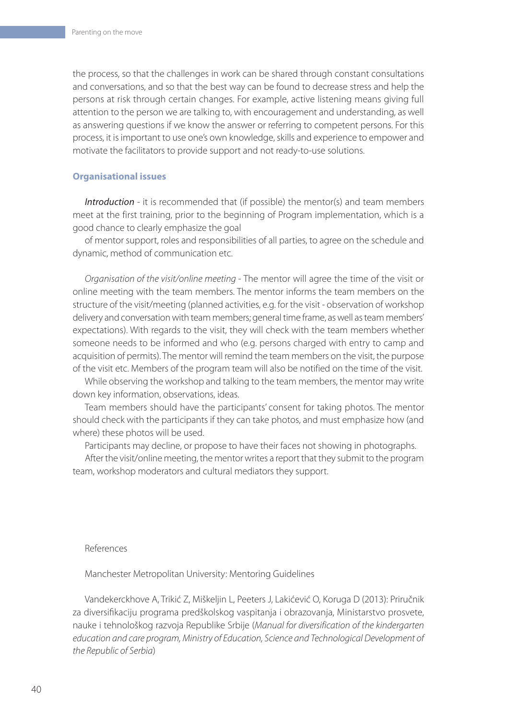the process, so that the challenges in work can be shared through constant consultations and conversations, and so that the best way can be found to decrease stress and help the persons at risk through certain changes. For example, active listening means giving full attention to the person we are talking to, with encouragement and understanding, as well as answering questions if we know the answer or referring to competent persons. For this process, it is important to use one's own knowledge, skills and experience to empower and motivate the facilitators to provide support and not ready-to-use solutions.

#### **Organisational issues**

*Introduction* - it is recommended that (if possible) the mentor(s) and team members meet at the first training, prior to the beginning of Program implementation, which is a good chance to clearly emphasize the goal

of mentor support, roles and responsibilities of all parties, to agree on the schedule and dynamic, method of communication etc.

*Organisation of the visit/online meeting* - The mentor will agree the time of the visit or online meeting with the team members. The mentor informs the team members on the structure of the visit/meeting (planned activities, e.g. for the visit - observation of workshop delivery and conversation with team members; general time frame, as well as team members' expectations). With regards to the visit, they will check with the team members whether someone needs to be informed and who (e.g. persons charged with entry to camp and acquisition of permits). The mentor will remind the team members on the visit, the purpose of the visit etc. Members of the program team will also be notified on the time of the visit.

While observing the workshop and talking to the team members, the mentor may write down key information, observations, ideas.

Team members should have the participants' consent for taking photos. The mentor should check with the participants if they can take photos, and must emphasize how (and where) these photos will be used.

Participants may decline, or propose to have their faces not showing in photographs.

After the visit/online meeting, the mentor writes a report that they submit to the program team, workshop moderators and cultural mediators they support.

#### References

Manchester Metropolitan University: Mentoring Guidelines

Vandekerckhove A, Trikić Z, Miškeljin L, Peeters J, Lakićević O, Koruga D (2013): Priručnik za diversifikaciju programa predškolskog vaspitanja i obrazovanja, Ministarstvo prosvete, nauke i tehnološkog razvoja Republike Srbije (*Manual for diversification of the kindergarten education and care program, Ministry of Education, Science and Technological Development of the Republic of Serbia*)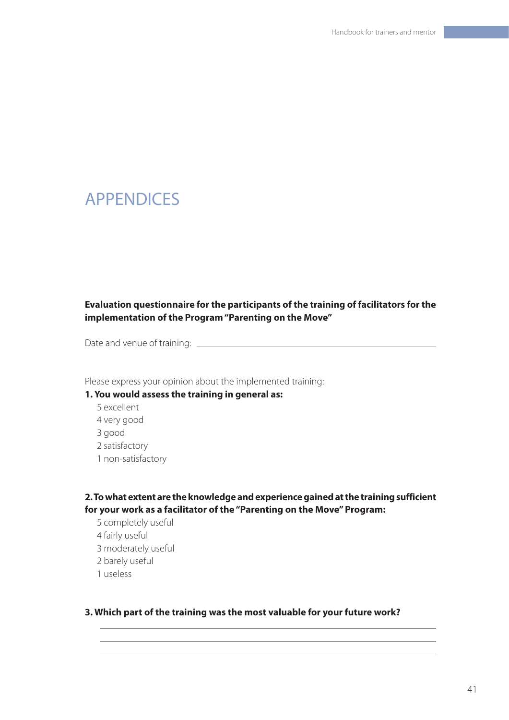# APPENDICES

# **Evaluation questionnaire for the participants of the training of facilitators for the implementation of the Program "Parenting on the Move"**

Date and venue of training:

Please express your opinion about the implemented training:

#### **1. You would assess the training in general as:**

5 excellent 4 very good 3 good 2 satisfactory 1 non-satisfactory

# **2. To what extent are the knowledge and experience gained at the training sufficient for your work as a facilitator of the "Parenting on the Move" Program:**

5 completely useful 4 fairly useful 3 moderately useful 2 barely useful 1 useless

#### **3. Which part of the training was the most valuable for your future work?**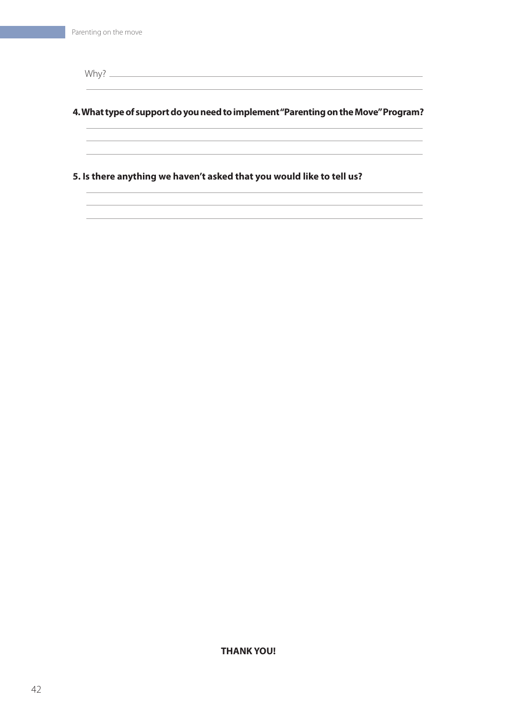Why?

#### **4. What type of support do you need to implement "Parenting on the Move" Program?**

**5. Is there anything we haven't asked that you would like to tell us?**

**THANK YOU!**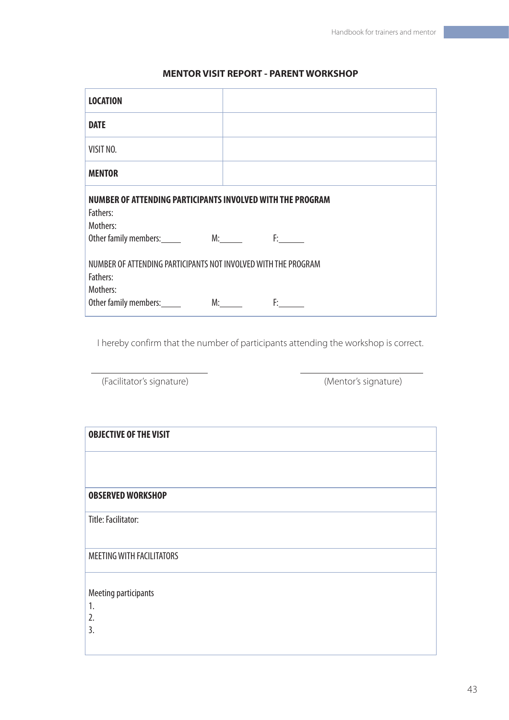#### **MENTOR VISIT REPORT - PARENT WORKSHOP**

| <b>LOCATION</b>                                                                        |            |
|----------------------------------------------------------------------------------------|------------|
| <b>DATE</b>                                                                            |            |
| VISIT NO.                                                                              |            |
| <b>MENTOR</b>                                                                          |            |
| NUMBER OF ATTENDING PARTICIPANTS INVOLVED WITH THE PROGRAM                             |            |
| Fathers:                                                                               |            |
| Mothers:                                                                               |            |
| Other family members: M: M. F:                                                         |            |
| NUMBER OF ATTENDING PARTICIPANTS NOT INVOLVED WITH THE PROGRAM<br>Fathers:<br>Mothers: |            |
| Other family members:                                                                  | M:<br>F: A |

I hereby confirm that the number of participants attending the workshop is correct.

(Facilitator's signature) (Mentor's signature)

| <b>OBJECTIVE OF THE VISIT</b>    |  |
|----------------------------------|--|
| <b>OBSERVED WORKSHOP</b>         |  |
| Title: Facilitator:              |  |
| <b>MEETING WITH FACILITATORS</b> |  |
| Meeting participants             |  |
| 1.<br>2.<br>$\overline{3}$ .     |  |
|                                  |  |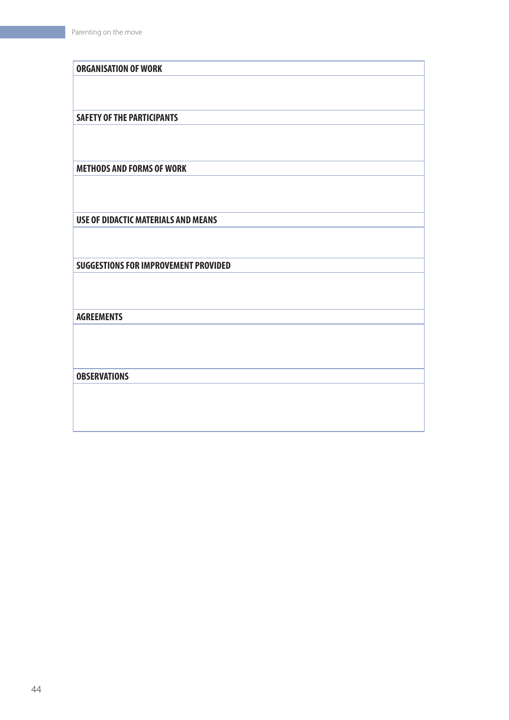| <b>ORGANISATION OF WORK</b>                 |
|---------------------------------------------|
|                                             |
|                                             |
|                                             |
| <b>SAFETY OF THE PARTICIPANTS</b>           |
|                                             |
|                                             |
|                                             |
| <b>METHODS AND FORMS OF WORK</b>            |
|                                             |
|                                             |
|                                             |
| <b>USE OF DIDACTIC MATERIALS AND MEANS</b>  |
|                                             |
|                                             |
| <b>SUGGESTIONS FOR IMPROVEMENT PROVIDED</b> |
|                                             |
|                                             |
|                                             |
| <b>AGREEMENTS</b>                           |
|                                             |
|                                             |
|                                             |
| <b>OBSERVATIONS</b>                         |
|                                             |
|                                             |
|                                             |
|                                             |
|                                             |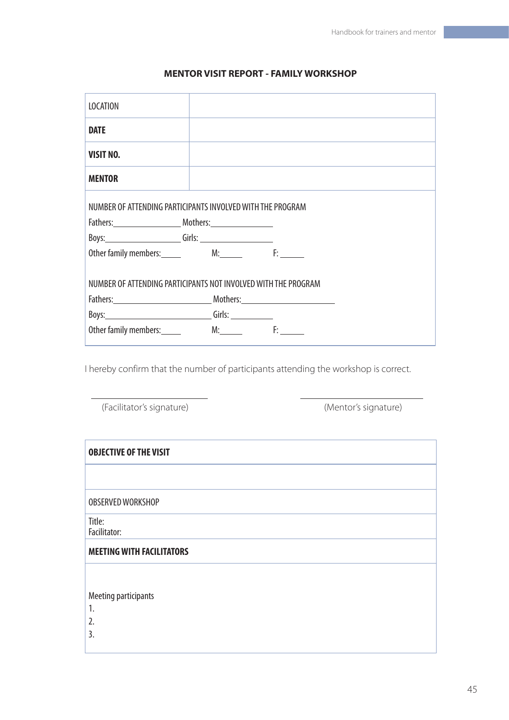# **MENTOR VISIT REPORT - FAMILY WORKSHOP**

| <b>LOCATION</b>                                                |  |  |  |
|----------------------------------------------------------------|--|--|--|
| <b>DATE</b>                                                    |  |  |  |
| <b>VISIT NO.</b>                                               |  |  |  |
| <b>MENTOR</b>                                                  |  |  |  |
| NUMBER OF ATTENDING PARTICIPANTS INVOLVED WITH THE PROGRAM     |  |  |  |
|                                                                |  |  |  |
|                                                                |  |  |  |
| Other family members: M: M. F:                                 |  |  |  |
| NUMBER OF ATTENDING PARTICIPANTS NOT INVOLVED WITH THE PROGRAM |  |  |  |
| Fathers: Mothers: Mothers:                                     |  |  |  |
|                                                                |  |  |  |
| Other family members: M: M: F:                                 |  |  |  |

I hereby confirm that the number of participants attending the workshop is correct.

| (Facilitator's signature) | (Mentor's signature) |
|---------------------------|----------------------|
|---------------------------|----------------------|

<u> 1999 - John Barnett, f</u>

| <b>OBJECTIVE OF THE VISIT</b>    |
|----------------------------------|
|                                  |
| OBSERVED WORKSHOP                |
| Title:<br>Facilitator:           |
| <b>MEETING WITH FACILITATORS</b> |
|                                  |
| Meeting participants             |
| 1.                               |
| 2.                               |
|                                  |
| 3.                               |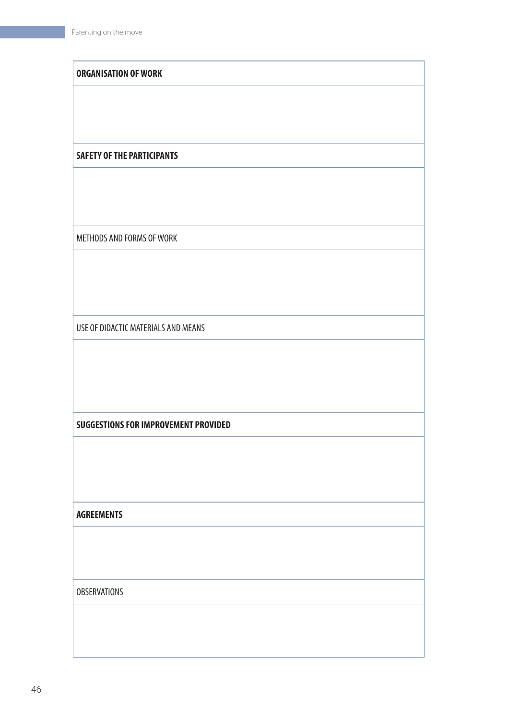| <b>ORGANISATION OF WORK</b>                 |
|---------------------------------------------|
|                                             |
|                                             |
|                                             |
| <b>SAFETY OF THE PARTICIPANTS</b>           |
|                                             |
|                                             |
| METHODS AND FORMS OF WORK                   |
|                                             |
|                                             |
|                                             |
| USE OF DIDACTIC MATERIALS AND MEANS         |
|                                             |
|                                             |
|                                             |
| <b>SUGGESTIONS FOR IMPROVEMENT PROVIDED</b> |
|                                             |
|                                             |
|                                             |
| <b>AGREEMENTS</b>                           |
|                                             |
|                                             |
| <b>OBSERVATIONS</b>                         |
|                                             |
|                                             |
|                                             |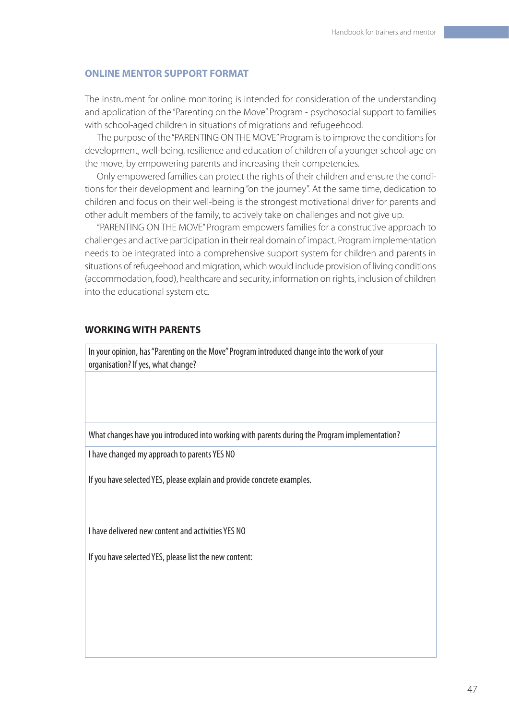#### **ONLINE MENTOR SUPPORT FORMAT**

The instrument for online monitoring is intended for consideration of the understanding and application of the "Parenting on the Move" Program - psychosocial support to families with school-aged children in situations of migrations and refugeehood.

The purpose of the "PARENTING ON THE MOVE" Program is to improve the conditions for development, well-being, resilience and education of children of a younger school-age on the move, by empowering parents and increasing their competencies.

Only empowered families can protect the rights of their children and ensure the conditions for their development and learning "on the journey". At the same time, dedication to children and focus on their well-being is the strongest motivational driver for parents and other adult members of the family, to actively take on challenges and not give up.

"PARENTING ON THE MOVE" Program empowers families for a constructive approach to challenges and active participation in their real domain of impact. Program implementation needs to be integrated into a comprehensive support system for children and parents in situations of refugeehood and migration, which would include provision of living conditions (accommodation, food), healthcare and security, information on rights, inclusion of children into the educational system etc.

#### **WORKING WITH PARENTS**

In your opinion, has "Parenting on the Move" Program introduced change into the work of your organisation? If yes, what change?

What changes have you introduced into working with parents during the Program implementation?

I have changed my approach to parents YES NO

If you have selected YES, please explain and provide concrete examples.

I have delivered new content and activities YES NO

If you have selected YES, please list the new content: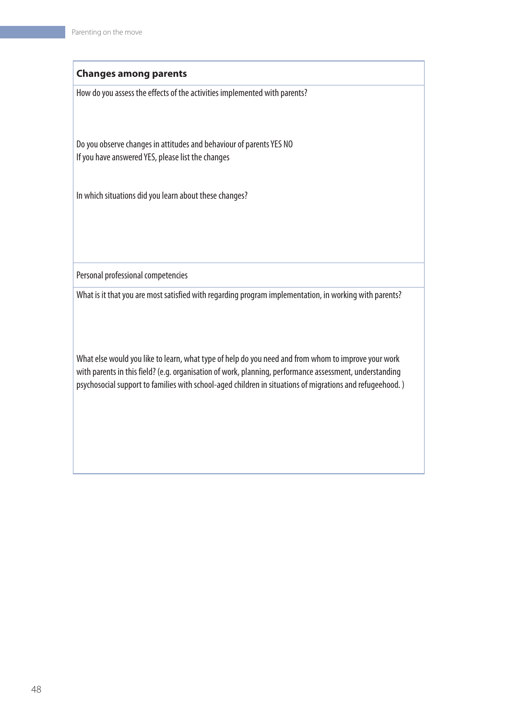#### **Changes among parents**

How do you assess the effects of the activities implemented with parents?

Do you observe changes in attitudes and behaviour of parents YES NO If you have answered YES, please list the changes

In which situations did you learn about these changes?

Personal professional competencies

What is it that you are most satisfied with regarding program implementation, in working with parents?

What else would you like to learn, what type of help do you need and from whom to improve your work with parents in this field? (e.g. organisation of work, planning, performance assessment, understanding psychosocial support to families with school-aged children in situations of migrations and refugeehood. )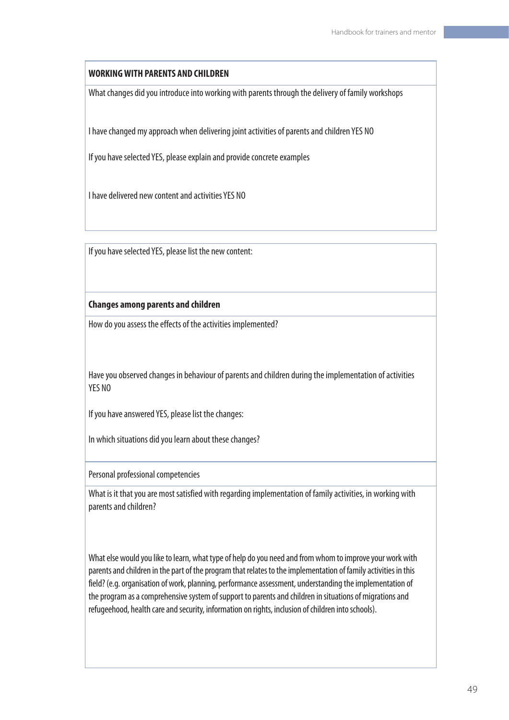#### **WORKING WITH PARENTS AND CHILDREN**

What changes did you introduce into working with parents through the delivery of family workshops

I have changed my approach when delivering joint activities of parents and children YES NO

If you have selected YES, please explain and provide concrete examples

I have delivered new content and activities YES NO

If you have selected YES, please list the new content:

#### **Changes among parents and children**

How do you assess the effects of the activities implemented?

Have you observed changes in behaviour of parents and children during the implementation of activities YES NO

If you have answered YES, please list the changes:

In which situations did you learn about these changes?

Personal professional competencies

What is it that you are most satisfied with regarding implementation of family activities, in working with parents and children?

What else would you like to learn, what type of help do you need and from whom to improve your work with parents and children in the part of the program that relates to the implementation of family activities in this field? (e.g. organisation of work, planning, performance assessment, understanding the implementation of the program as a comprehensive system of support to parents and children in situations of migrations and refugeehood, health care and security, information on rights, inclusion of children into schools).